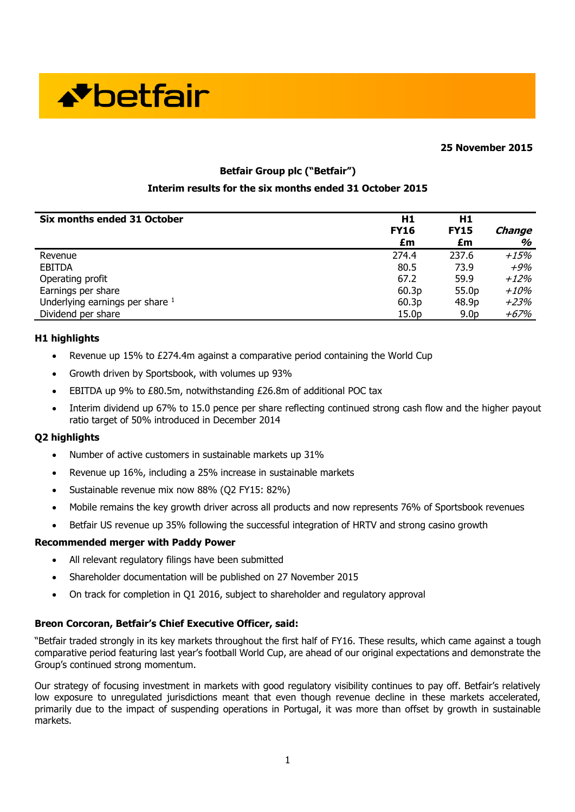

#### **25 November 2015**

## **Betfair Group plc ("Betfair")**

## **Interim results for the six months ended 31 October 2015**

| Six months ended 31 October     | H1<br><b>FY16</b><br>£m | H1<br><b>FY15</b><br>£m | Change<br>% |
|---------------------------------|-------------------------|-------------------------|-------------|
| Revenue                         | 274.4                   | 237.6                   | $+15%$      |
| <b>EBITDA</b>                   | 80.5                    | 73.9                    | $+9\%$      |
| Operating profit                | 67.2                    | 59.9                    | $+12\%$     |
| Earnings per share              | 60.3p                   | 55.0p                   | $+10%$      |
| Underlying earnings per share 1 | 60.3p                   | 48.9p                   | $+23%$      |
| Dividend per share              | 15.0p                   | 9.0 <sub>p</sub>        | +67%        |

#### **H1 highlights**

- Revenue up 15% to £274.4m against a comparative period containing the World Cup
- Growth driven by Sportsbook, with volumes up 93%
- EBITDA up 9% to £80.5m, notwithstanding £26.8m of additional POC tax
- Interim dividend up 67% to 15.0 pence per share reflecting continued strong cash flow and the higher payout ratio target of 50% introduced in December 2014

#### **Q2 highlights**

- Number of active customers in sustainable markets up 31%
- Revenue up 16%, including a 25% increase in sustainable markets
- Sustainable revenue mix now 88% (Q2 FY15: 82%)
- Mobile remains the key growth driver across all products and now represents 76% of Sportsbook revenues
- Betfair US revenue up 35% following the successful integration of HRTV and strong casino growth

#### **Recommended merger with Paddy Power**

- All relevant regulatory filings have been submitted
- Shareholder documentation will be published on 27 November 2015
- On track for completion in Q1 2016, subject to shareholder and regulatory approval

## **Breon Corcoran, Betfair's Chief Executive Officer, said:**

"Betfair traded strongly in its key markets throughout the first half of FY16. These results, which came against a tough comparative period featuring last year's football World Cup, are ahead of our original expectations and demonstrate the Group's continued strong momentum.

Our strategy of focusing investment in markets with good regulatory visibility continues to pay off. Betfair's relatively low exposure to unregulated jurisdictions meant that even though revenue decline in these markets accelerated, primarily due to the impact of suspending operations in Portugal, it was more than offset by growth in sustainable markets.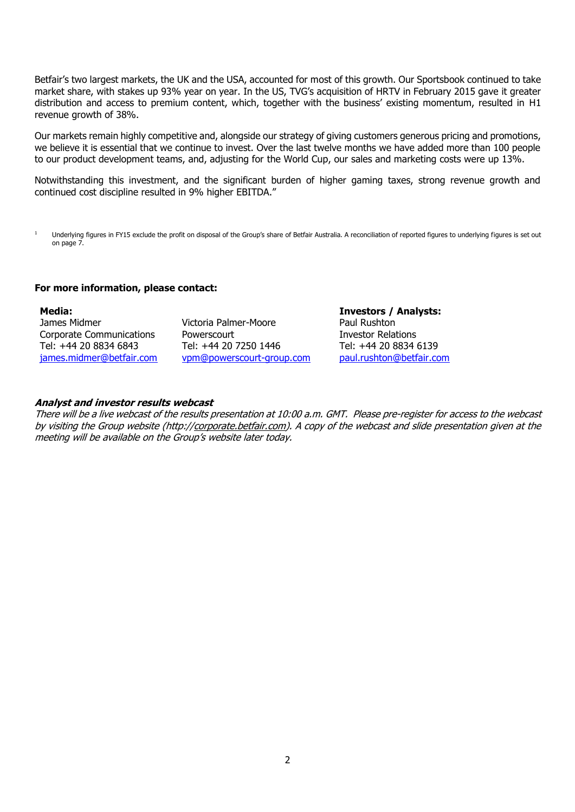Betfair's two largest markets, the UK and the USA, accounted for most of this growth. Our Sportsbook continued to take market share, with stakes up 93% year on year. In the US, TVG's acquisition of HRTV in February 2015 gave it greater distribution and access to premium content, which, together with the business' existing momentum, resulted in H1 revenue growth of 38%.

Our markets remain highly competitive and, alongside our strategy of giving customers generous pricing and promotions, we believe it is essential that we continue to invest. Over the last twelve months we have added more than 100 people to our product development teams, and, adjusting for the World Cup, our sales and marketing costs were up 13%.

Notwithstanding this investment, and the significant burden of higher gaming taxes, strong revenue growth and continued cost discipline resulted in 9% higher EBITDA."

<sup>1</sup> Underlying figures in FY15 exclude the profit on disposal of the Group's share of Betfair Australia. A reconciliation of reported figures to underlying figures is set out on page 7.

#### **For more information, please contact:**

#### **Media:**

James Midmer Corporate Communications Tel: +44 20 8834 6843 [james.midmer@betfair.com](mailto:james.midmer@betfair.com)

Victoria Palmer-Moore **Powerscourt** Tel: +44 20 7250 1446 [vpm@powerscourt-group.com](mailto:vpm@powerscourt-group.com) **Investors / Analysts:** Paul Rushton Investor Relations Tel: +44 20 8834 6139 [paul.rushton@betfair.com](mailto:paul.rushton@betfair.com)

#### **Analyst and investor results webcast**

There will be a live webcast of the results presentation at 10:00 a.m. GMT. Please pre-register for access to the webcast by visiting the Group website (http://corporate.betfair.com). A copy of the webcast and slide presentation given at the meeting will be available on the Group's website later today.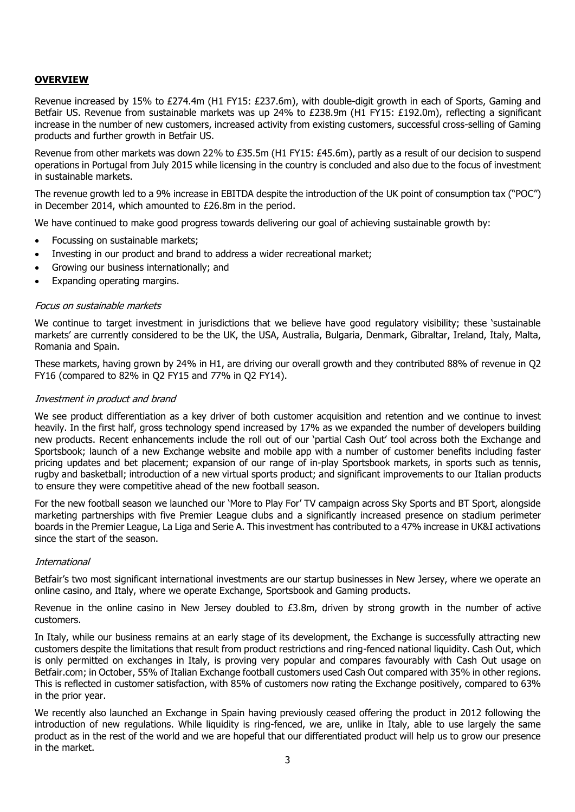## **OVERVIEW**

Revenue increased by 15% to £274.4m (H1 FY15: £237.6m), with double-digit growth in each of Sports, Gaming and Betfair US. Revenue from sustainable markets was up 24% to £238.9m (H1 FY15: £192.0m), reflecting a significant increase in the number of new customers, increased activity from existing customers, successful cross-selling of Gaming products and further growth in Betfair US.

Revenue from other markets was down 22% to £35.5m (H1 FY15: £45.6m), partly as a result of our decision to suspend operations in Portugal from July 2015 while licensing in the country is concluded and also due to the focus of investment in sustainable markets.

The revenue growth led to a 9% increase in EBITDA despite the introduction of the UK point of consumption tax ("POC") in December 2014, which amounted to £26.8m in the period.

We have continued to make good progress towards delivering our goal of achieving sustainable growth by:

- Focussing on sustainable markets;
- Investing in our product and brand to address a wider recreational market;
- Growing our business internationally; and
- Expanding operating margins.

## Focus on sustainable markets

We continue to target investment in jurisdictions that we believe have good regulatory visibility; these 'sustainable markets' are currently considered to be the UK, the USA, Australia, Bulgaria, Denmark, Gibraltar, Ireland, Italy, Malta, Romania and Spain.

These markets, having grown by 24% in H1, are driving our overall growth and they contributed 88% of revenue in Q2 FY16 (compared to 82% in Q2 FY15 and 77% in Q2 FY14).

## Investment in product and brand

We see product differentiation as a key driver of both customer acquisition and retention and we continue to invest heavily. In the first half, gross technology spend increased by 17% as we expanded the number of developers building new products. Recent enhancements include the roll out of our 'partial Cash Out' tool across both the Exchange and Sportsbook; launch of a new Exchange website and mobile app with a number of customer benefits including faster pricing updates and bet placement; expansion of our range of in-play Sportsbook markets, in sports such as tennis, rugby and basketball; introduction of a new virtual sports product; and significant improvements to our Italian products to ensure they were competitive ahead of the new football season.

For the new football season we launched our 'More to Play For' TV campaign across Sky Sports and BT Sport, alongside marketing partnerships with five Premier League clubs and a significantly increased presence on stadium perimeter boards in the Premier League, La Liga and Serie A. This investment has contributed to a 47% increase in UK&I activations since the start of the season.

## International

Betfair's two most significant international investments are our startup businesses in New Jersey, where we operate an online casino, and Italy, where we operate Exchange, Sportsbook and Gaming products.

Revenue in the online casino in New Jersey doubled to  $E3.8m$ , driven by strong growth in the number of active customers.

In Italy, while our business remains at an early stage of its development, the Exchange is successfully attracting new customers despite the limitations that result from product restrictions and ring-fenced national liquidity. Cash Out, which is only permitted on exchanges in Italy, is proving very popular and compares favourably with Cash Out usage on Betfair.com; in October, 55% of Italian Exchange football customers used Cash Out compared with 35% in other regions. This is reflected in customer satisfaction, with 85% of customers now rating the Exchange positively, compared to 63% in the prior year.

We recently also launched an Exchange in Spain having previously ceased offering the product in 2012 following the introduction of new regulations. While liquidity is ring-fenced, we are, unlike in Italy, able to use largely the same product as in the rest of the world and we are hopeful that our differentiated product will help us to grow our presence in the market.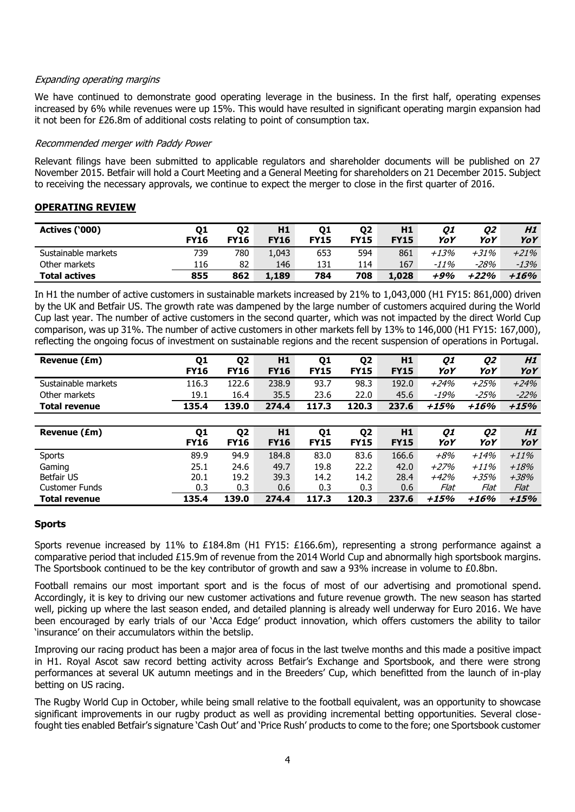## Expanding operating margins

We have continued to demonstrate good operating leverage in the business. In the first half, operating expenses increased by 6% while revenues were up 15%. This would have resulted in significant operating margin expansion had it not been for £26.8m of additional costs relating to point of consumption tax.

## Recommended merger with Paddy Power

Relevant filings have been submitted to applicable regulators and shareholder documents will be published on 27 November 2015. Betfair will hold a Court Meeting and a General Meeting for shareholders on 21 December 2015. Subject to receiving the necessary approvals, we continue to expect the merger to close in the first quarter of 2016.

## **OPERATING REVIEW**

| Actives ('000)       | Q1<br><b>FY16</b> | 02<br><b>FY16</b> | H1<br><b>FY16</b> | 01<br><b>FY15</b> | 02<br><b>FY15</b> | H1<br><b>FY15</b> | 01<br>YoY | 02<br>YoY | H <sub>1</sub><br>YoY |
|----------------------|-------------------|-------------------|-------------------|-------------------|-------------------|-------------------|-----------|-----------|-----------------------|
| Sustainable markets  | 739               | 780               | 1,043             | 653               | 594               | 861               | $+13%$    | +31%      | $+21%$                |
| Other markets        | 116               | 82                | 146               | 131               | 114               | 167               | -11%      | -28%      | -13%                  |
| <b>Total actives</b> | 855               | 862               | 1,189             | 784               | 708               | 1,028             | +9%       | $+22%$    | $+16%$                |

In H1 the number of active customers in sustainable markets increased by 21% to 1,043,000 (H1 FY15: 861,000) driven by the UK and Betfair US. The growth rate was dampened by the large number of customers acquired during the World Cup last year. The number of active customers in the second quarter, which was not impacted by the direct World Cup comparison, was up 31%. The number of active customers in other markets fell by 13% to 146,000 (H1 FY15: 167,000), reflecting the ongoing focus of investment on sustainable regions and the recent suspension of operations in Portugal.

| Revenue (£m)          | Q1<br><b>FY16</b> | Q <sub>2</sub><br><b>FY16</b> | H1<br><b>FY16</b> | Q <sub>1</sub><br><b>FY15</b> | Q <sub>2</sub><br><b>FY15</b> | H1<br><b>FY15</b> | Q1<br>YoY | Q2<br>YoY | H1<br>YoY |
|-----------------------|-------------------|-------------------------------|-------------------|-------------------------------|-------------------------------|-------------------|-----------|-----------|-----------|
|                       |                   |                               |                   |                               |                               |                   |           |           |           |
| Sustainable markets   | 116.3             | 122.6                         | 238.9             | 93.7                          | 98.3                          | 192.0             | $+24%$    | $+25%$    | $+24%$    |
| Other markets         | 19.1              | 16.4                          | 35.5              | 23.6                          | 22.0                          | 45.6              | -19%      | $-25%$    | $-22%$    |
| <b>Total revenue</b>  | 135.4             | 139.0                         | 274.4             | 117.3                         | 120.3                         | 237.6             | $+15%$    | $+16%$    | $+15%$    |
|                       |                   |                               |                   |                               |                               |                   |           |           |           |
| Revenue (£m)          | Q1                | Q <sub>2</sub>                | H1                | Q <sub>1</sub>                | Q <sub>2</sub>                | H1                | Q1        | Q2        | H1        |
|                       | <b>FY16</b>       | <b>FY16</b>                   | <b>FY16</b>       | <b>FY15</b>                   | <b>FY15</b>                   | <b>FY15</b>       | YoY       | YoY       | YoY       |
| Sports                | 89.9              | 94.9                          | 184.8             | 83.0                          | 83.6                          | 166.6             | $+8%$     | $+14%$    | $+11\%$   |
| Gaming                | 25.1              | 24.6                          | 49.7              | 19.8                          | 22.2                          | 42.0              | $+27%$    | $+11\%$   | $+18%$    |
| Betfair US            | 20.1              | 19.2                          | 39.3              | 14.2                          | 14.2                          | 28.4              | $+42%$    | $+35%$    | $+38%$    |
| <b>Customer Funds</b> | 0.3               | 0.3                           | 0.6               | 0.3                           | 0.3                           | 0.6               | Flat      | Flat      | Flat      |
| <b>Total revenue</b>  | 135.4             | 139.0                         | 274.4             | 117.3                         | 120.3                         | 237.6             | +15%      | $+16%$    | $+15%$    |

## **Sports**

Sports revenue increased by 11% to £184.8m (H1 FY15: £166.6m), representing a strong performance against a comparative period that included £15.9m of revenue from the 2014 World Cup and abnormally high sportsbook margins. The Sportsbook continued to be the key contributor of growth and saw a 93% increase in volume to £0.8bn.

Football remains our most important sport and is the focus of most of our advertising and promotional spend. Accordingly, it is key to driving our new customer activations and future revenue growth. The new season has started well, picking up where the last season ended, and detailed planning is already well underway for Euro 2016. We have been encouraged by early trials of our 'Acca Edge' product innovation, which offers customers the ability to tailor 'insurance' on their accumulators within the betslip.

Improving our racing product has been a major area of focus in the last twelve months and this made a positive impact in H1. Royal Ascot saw record betting activity across Betfair's Exchange and Sportsbook, and there were strong performances at several UK autumn meetings and in the Breeders' Cup, which benefitted from the launch of in-play betting on US racing.

The Rugby World Cup in October, while being small relative to the football equivalent, was an opportunity to showcase significant improvements in our rugby product as well as providing incremental betting opportunities. Several closefought ties enabled Betfair's signature 'Cash Out' and 'Price Rush' products to come to the fore; one Sportsbook customer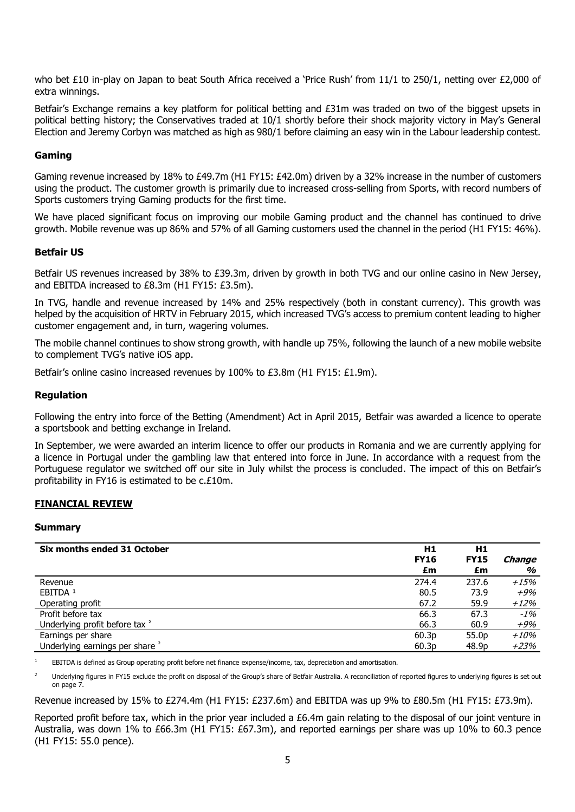who bet £10 in-play on Japan to beat South Africa received a 'Price Rush' from 11/1 to 250/1, netting over £2,000 of extra winnings.

Betfair's Exchange remains a key platform for political betting and £31m was traded on two of the biggest upsets in political betting history; the Conservatives traded at 10/1 shortly before their shock majority victory in May's General Election and Jeremy Corbyn was matched as high as 980/1 before claiming an easy win in the Labour leadership contest.

## **Gaming**

Gaming revenue increased by 18% to £49.7m (H1 FY15: £42.0m) driven by a 32% increase in the number of customers using the product. The customer growth is primarily due to increased cross-selling from Sports, with record numbers of Sports customers trying Gaming products for the first time.

We have placed significant focus on improving our mobile Gaming product and the channel has continued to drive growth. Mobile revenue was up 86% and 57% of all Gaming customers used the channel in the period (H1 FY15: 46%).

## **Betfair US**

Betfair US revenues increased by 38% to £39.3m, driven by growth in both TVG and our online casino in New Jersey, and EBITDA increased to £8.3m (H1 FY15: £3.5m).

In TVG, handle and revenue increased by 14% and 25% respectively (both in constant currency). This growth was helped by the acquisition of HRTV in February 2015, which increased TVG's access to premium content leading to higher customer engagement and, in turn, wagering volumes.

The mobile channel continues to show strong growth, with handle up 75%, following the launch of a new mobile website to complement TVG's native iOS app.

Betfair's online casino increased revenues by 100% to £3.8m (H1 FY15: £1.9m).

## **Regulation**

Following the entry into force of the Betting (Amendment) Act in April 2015, Betfair was awarded a licence to operate a sportsbook and betting exchange in Ireland.

In September, we were awarded an interim licence to offer our products in Romania and we are currently applying for a licence in Portugal under the gambling law that entered into force in June. In accordance with a request from the Portuguese regulator we switched off our site in July whilst the process is concluded. The impact of this on Betfair's profitability in FY16 is estimated to be c.£10m.

## **FINANCIAL REVIEW**

## **Summary**

| Six months ended 31 October                | H1          | H1          |         |
|--------------------------------------------|-------------|-------------|---------|
|                                            | <b>FY16</b> | <b>FY15</b> | Change  |
|                                            | £m          | £m          | %       |
| Revenue                                    | 274.4       | 237.6       | $+15%$  |
| EBITDA <sup>1</sup>                        | 80.5        | 73.9        | $+9%$   |
| Operating profit                           | 67.2        | 59.9        | $+12\%$ |
| Profit before tax                          | 66.3        | 67.3        | $-1\%$  |
| Underlying profit before tax <sup>2</sup>  | 66.3        | 60.9        | +9%     |
| Earnings per share                         | 60.3p       | 55.0p       | +10%    |
| Underlying earnings per share <sup>2</sup> | 60.3p       | 48.9p       | +23%    |

<sup>1</sup> EBITDA is defined as Group operating profit before net finance expense/income, tax, depreciation and amortisation.

<sup>2</sup> Underlying figures in FY15 exclude the profit on disposal of the Group's share of Betfair Australia. A reconciliation of reported figures to underlying figures is set out on page 7.

Revenue increased by 15% to £274.4m (H1 FY15: £237.6m) and EBITDA was up 9% to £80.5m (H1 FY15: £73.9m).

Reported profit before tax, which in the prior year included a £6.4m gain relating to the disposal of our joint venture in Australia, was down 1% to £66.3m (H1 FY15: £67.3m), and reported earnings per share was up 10% to 60.3 pence (H1 FY15: 55.0 pence).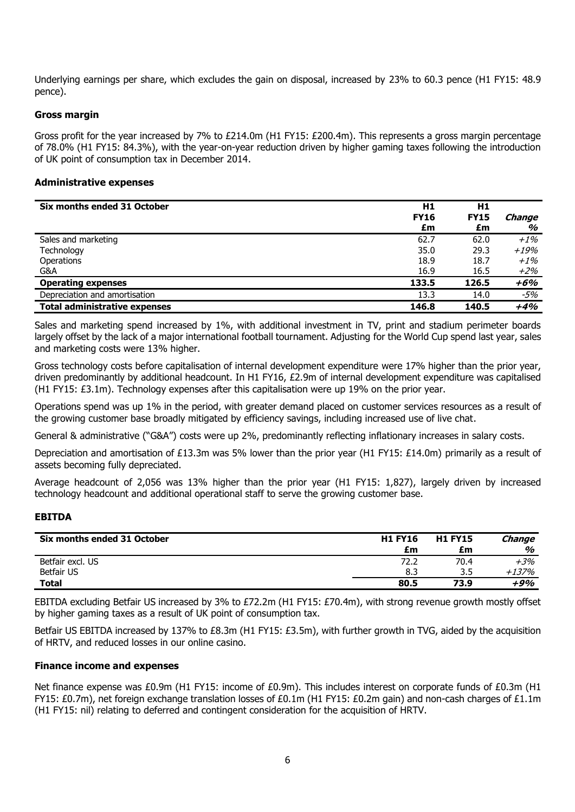Underlying earnings per share, which excludes the gain on disposal, increased by 23% to 60.3 pence (H1 FY15: 48.9 pence).

## **Gross margin**

Gross profit for the year increased by 7% to £214.0m (H1 FY15: £200.4m). This represents a gross margin percentage of 78.0% (H1 FY15: 84.3%), with the year-on-year reduction driven by higher gaming taxes following the introduction of UK point of consumption tax in December 2014.

#### **Administrative expenses**

| Six months ended 31 October          | H1<br><b>FY16</b><br>£m | H1<br><b>FY15</b><br>£m | <b>Change</b><br>% |
|--------------------------------------|-------------------------|-------------------------|--------------------|
| Sales and marketing                  | 62.7                    | 62.0                    | $+1\%$             |
| Technology                           | 35.0                    | 29.3                    | +19%               |
| Operations                           | 18.9                    | 18.7                    | $+1\%$             |
| G&A                                  | 16.9                    | 16.5                    | +2%                |
| <b>Operating expenses</b>            | 133.5                   | 126.5                   | +6%                |
| Depreciation and amortisation        | 13.3                    | 14.0                    | -5%                |
| <b>Total administrative expenses</b> | 146.8                   | 140.5                   | $+4%$              |

Sales and marketing spend increased by 1%, with additional investment in TV, print and stadium perimeter boards largely offset by the lack of a major international football tournament. Adjusting for the World Cup spend last year, sales and marketing costs were 13% higher.

Gross technology costs before capitalisation of internal development expenditure were 17% higher than the prior year, driven predominantly by additional headcount. In H1 FY16, £2.9m of internal development expenditure was capitalised (H1 FY15: £3.1m). Technology expenses after this capitalisation were up 19% on the prior year.

Operations spend was up 1% in the period, with greater demand placed on customer services resources as a result of the growing customer base broadly mitigated by efficiency savings, including increased use of live chat.

General & administrative ("G&A") costs were up 2%, predominantly reflecting inflationary increases in salary costs.

Depreciation and amortisation of £13.3m was 5% lower than the prior year (H1 FY15: £14.0m) primarily as a result of assets becoming fully depreciated.

Average headcount of 2,056 was 13% higher than the prior year (H1 FY15: 1,827), largely driven by increased technology headcount and additional operational staff to serve the growing customer base.

## **EBITDA**

| Six months ended 31 October | <b>H1 FY16</b> | <b>H1 FY15</b> | Change |
|-----------------------------|----------------|----------------|--------|
|                             | £m             | £m             | %      |
| Betfair excl. US            | 72.2           | 70.4           | $+3%$  |
| <b>Betfair US</b>           | 8.3            | 3.5            | +137%  |
| <b>Total</b>                | 80.5           | 73.9           | +9%    |

EBITDA excluding Betfair US increased by 3% to £72.2m (H1 FY15: £70.4m), with strong revenue growth mostly offset by higher gaming taxes as a result of UK point of consumption tax.

Betfair US EBITDA increased by 137% to £8.3m (H1 FY15: £3.5m), with further growth in TVG, aided by the acquisition of HRTV, and reduced losses in our online casino.

#### **Finance income and expenses**

Net finance expense was £0.9m (H1 FY15: income of £0.9m). This includes interest on corporate funds of £0.3m (H1 FY15: £0.7m), net foreign exchange translation losses of £0.1m (H1 FY15: £0.2m gain) and non-cash charges of £1.1m (H1 FY15: nil) relating to deferred and contingent consideration for the acquisition of HRTV.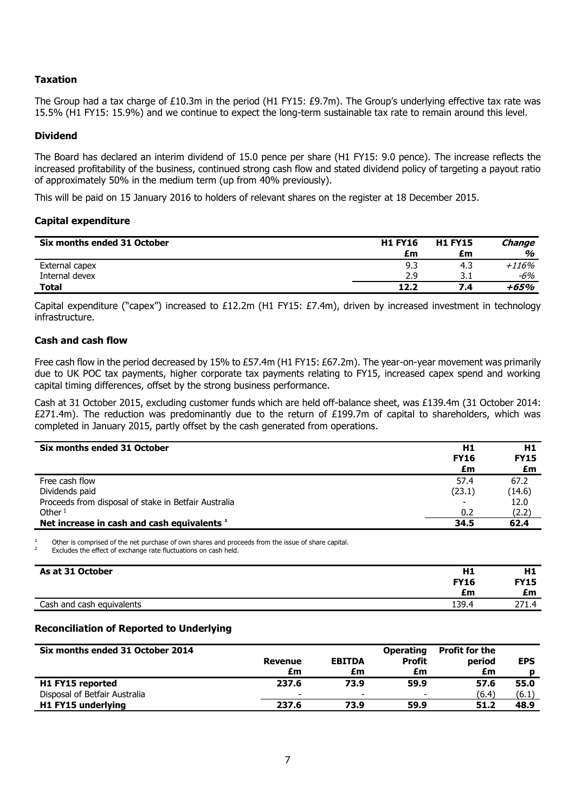## **Taxation**

The Group had a tax charge of £10.3m in the period (H1 FY15: £9.7m). The Group's underlying effective tax rate was 15.5% (H1 FY15: 15.9%) and we continue to expect the long-term sustainable tax rate to remain around this level.

## **Dividend**

The Board has declared an interim dividend of 15.0 pence per share (H1 FY15: 9.0 pence). The increase reflects the increased profitability of the business, continued strong cash flow and stated dividend policy of targeting a payout ratio of approximately 50% in the medium term (up from 40% previously).

This will be paid on 15 January 2016 to holders of relevant shares on the register at 18 December 2015.

#### **Capital expenditure**

| Six months ended 31 October | <b>H1 FY16</b> | <b>H1 FY15</b> | Change  |
|-----------------------------|----------------|----------------|---------|
|                             | £m             | £m             | %       |
| External capex              | 9.3            | 4.3            | $+116%$ |
| Internal devex              | 2.9            |                | -6%     |
| Total                       | 12.2           | 7.4            | +65%    |

Capital expenditure ("capex") increased to £12.2m (H1 FY15: £7.4m), driven by increased investment in technology infrastructure.

### **Cash and cash flow**

Free cash flow in the period decreased by 15% to £57.4m (H1 FY15: £67.2m). The year-on-year movement was primarily due to UK POC tax payments, higher corporate tax payments relating to FY15, increased capex spend and working capital timing differences, offset by the strong business performance.

Cash at 31 October 2015, excluding customer funds which are held off-balance sheet, was £139.4m (31 October 2014:  $£271.4m$ ). The reduction was predominantly due to the return of £199.7m of capital to shareholders, which was completed in January 2015, partly offset by the cash generated from operations.

| Six months ended 31 October                            | H <sub>1</sub><br><b>FY16</b><br>£m | H1<br><b>FY15</b><br>£m |
|--------------------------------------------------------|-------------------------------------|-------------------------|
| Free cash flow                                         | 57.4                                | 67.2                    |
| Dividends paid                                         | (23.1)                              | (14.6)                  |
| Proceeds from disposal of stake in Betfair Australia   |                                     | 12.0                    |
| Other $1$                                              | 0.2                                 | (2.2)                   |
| Net increase in cash and cash equivalents <sup>2</sup> | 34.5                                | 62.4                    |

<sup>1</sup> Other is comprised of the net purchase of own shares and proceeds from the issue of share capital.

Excludes the effect of exchange rate fluctuations on cash held.

| As at 31 October          | Η1          | H1          |
|---------------------------|-------------|-------------|
|                           | <b>FY16</b> | <b>FY15</b> |
|                           | £m          | £m          |
| Cash and cash equivalents | 139.4       | 271<br>-4   |

## **Reconciliation of Reported to Underlying**

| Six months ended 31 October 2014 | <b>Revenue</b><br>£m | <b>EBITDA</b><br>£m      | <b>Operating</b><br><b>Profit</b><br>£m | <b>Profit for the</b><br>period<br>£m | <b>EPS</b> |
|----------------------------------|----------------------|--------------------------|-----------------------------------------|---------------------------------------|------------|
| H1 FY15 reported                 | 237.6                | 73.9                     | 59.9                                    | 57.6                                  | 55.0       |
| Disposal of Betfair Australia    | -                    | $\overline{\phantom{0}}$ | $\overline{\phantom{0}}$                | (6.4)                                 | (6.1)      |
| H1 FY15 underlying               | 237.6                | 73.9                     | 59.9                                    | 51.2                                  | 48.9       |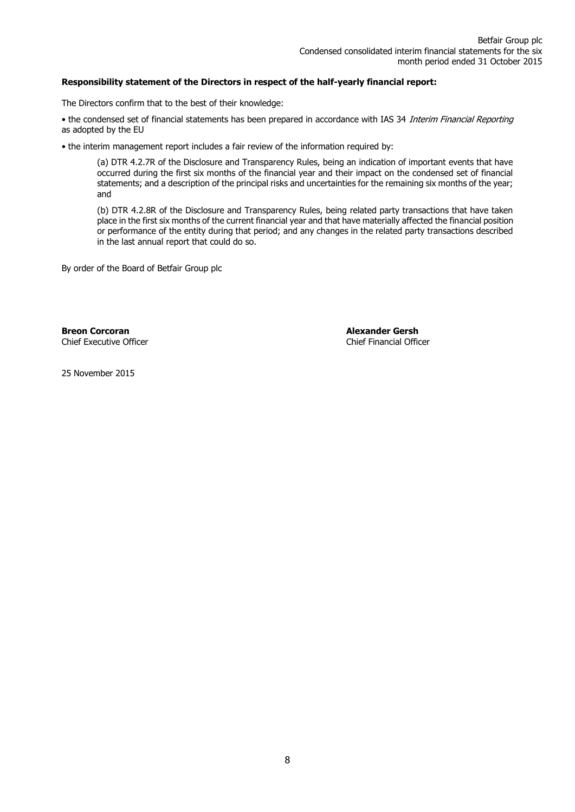## **Responsibility statement of the Directors in respect of the half-yearly financial report:**

The Directors confirm that to the best of their knowledge:

• the condensed set of financial statements has been prepared in accordance with IAS 34 Interim Financial Reporting as adopted by the EU

• the interim management report includes a fair review of the information required by:

(a) DTR 4.2.7R of the Disclosure and Transparency Rules, being an indication of important events that have occurred during the first six months of the financial year and their impact on the condensed set of financial statements; and a description of the principal risks and uncertainties for the remaining six months of the year; and

(b) DTR 4.2.8R of the Disclosure and Transparency Rules, being related party transactions that have taken place in the first six months of the current financial year and that have materially affected the financial position or performance of the entity during that period; and any changes in the related party transactions described in the last annual report that could do so.

By order of the Board of Betfair Group plc

**Breon Corcoran Alexander Gersh Chief Executive Officer Alexander Gersh Chief Executive Officer** Chief Executive Officer

25 November 2015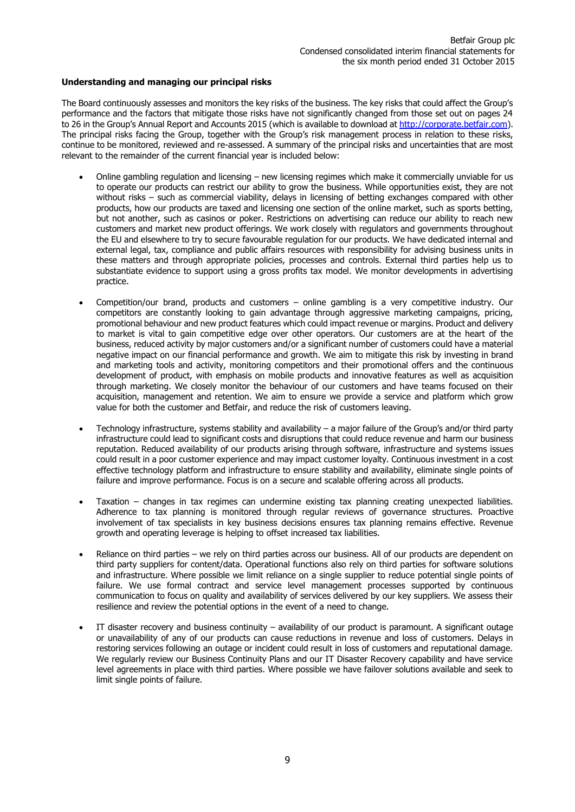#### **Understanding and managing our principal risks**

The Board continuously assesses and monitors the key risks of the business. The key risks that could affect the Group's performance and the factors that mitigate those risks have not significantly changed from those set out on pages 24 to 26 in the Group's Annual Report and Accounts 2015 (which is available to download at [http://corporate.betfair.com\)](http://corporate.betfair.com/). The principal risks facing the Group, together with the Group's risk management process in relation to these risks, continue to be monitored, reviewed and re-assessed. A summary of the principal risks and uncertainties that are most relevant to the remainder of the current financial year is included below:

- Online gambling regulation and licensing new licensing regimes which make it commercially unviable for us to operate our products can restrict our ability to grow the business. While opportunities exist, they are not without risks – such as commercial viability, delays in licensing of betting exchanges compared with other products, how our products are taxed and licensing one section of the online market, such as sports betting, but not another, such as casinos or poker. Restrictions on advertising can reduce our ability to reach new customers and market new product offerings. We work closely with regulators and governments throughout the EU and elsewhere to try to secure favourable regulation for our products. We have dedicated internal and external legal, tax, compliance and public affairs resources with responsibility for advising business units in these matters and through appropriate policies, processes and controls. External third parties help us to substantiate evidence to support using a gross profits tax model. We monitor developments in advertising practice.
- Competition/our brand, products and customers online gambling is a very competitive industry. Our competitors are constantly looking to gain advantage through aggressive marketing campaigns, pricing, promotional behaviour and new product features which could impact revenue or margins. Product and delivery to market is vital to gain competitive edge over other operators. Our customers are at the heart of the business, reduced activity by major customers and/or a significant number of customers could have a material negative impact on our financial performance and growth. We aim to mitigate this risk by investing in brand and marketing tools and activity, monitoring competitors and their promotional offers and the continuous development of product, with emphasis on mobile products and innovative features as well as acquisition through marketing. We closely monitor the behaviour of our customers and have teams focused on their acquisition, management and retention. We aim to ensure we provide a service and platform which grow value for both the customer and Betfair, and reduce the risk of customers leaving.
- Technology infrastructure, systems stability and availability a major failure of the Group's and/or third party infrastructure could lead to significant costs and disruptions that could reduce revenue and harm our business reputation. Reduced availability of our products arising through software, infrastructure and systems issues could result in a poor customer experience and may impact customer loyalty. Continuous investment in a cost effective technology platform and infrastructure to ensure stability and availability, eliminate single points of failure and improve performance. Focus is on a secure and scalable offering across all products.
- Taxation changes in tax regimes can undermine existing tax planning creating unexpected liabilities. Adherence to tax planning is monitored through regular reviews of governance structures. Proactive involvement of tax specialists in key business decisions ensures tax planning remains effective. Revenue growth and operating leverage is helping to offset increased tax liabilities.
- Reliance on third parties we rely on third parties across our business. All of our products are dependent on third party suppliers for content/data. Operational functions also rely on third parties for software solutions and infrastructure. Where possible we limit reliance on a single supplier to reduce potential single points of failure. We use formal contract and service level management processes supported by continuous communication to focus on quality and availability of services delivered by our key suppliers. We assess their resilience and review the potential options in the event of a need to change.
- IT disaster recovery and business continuity availability of our product is paramount. A significant outage or unavailability of any of our products can cause reductions in revenue and loss of customers. Delays in restoring services following an outage or incident could result in loss of customers and reputational damage. We regularly review our Business Continuity Plans and our IT Disaster Recovery capability and have service level agreements in place with third parties. Where possible we have failover solutions available and seek to limit single points of failure.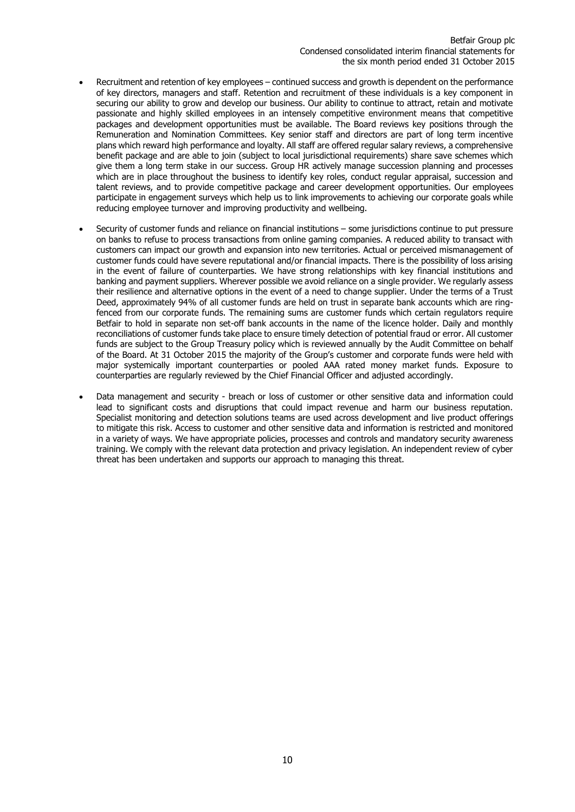- Recruitment and retention of key employees continued success and growth is dependent on the performance of key directors, managers and staff. Retention and recruitment of these individuals is a key component in securing our ability to grow and develop our business. Our ability to continue to attract, retain and motivate passionate and highly skilled employees in an intensely competitive environment means that competitive packages and development opportunities must be available. The Board reviews key positions through the Remuneration and Nomination Committees. Key senior staff and directors are part of long term incentive plans which reward high performance and loyalty. All staff are offered regular salary reviews, a comprehensive benefit package and are able to join (subject to local jurisdictional requirements) share save schemes which give them a long term stake in our success. Group HR actively manage succession planning and processes which are in place throughout the business to identify key roles, conduct regular appraisal, succession and talent reviews, and to provide competitive package and career development opportunities. Our employees participate in engagement surveys which help us to link improvements to achieving our corporate goals while reducing employee turnover and improving productivity and wellbeing.
- Security of customer funds and reliance on financial institutions some jurisdictions continue to put pressure on banks to refuse to process transactions from online gaming companies. A reduced ability to transact with customers can impact our growth and expansion into new territories. Actual or perceived mismanagement of customer funds could have severe reputational and/or financial impacts. There is the possibility of loss arising in the event of failure of counterparties. We have strong relationships with key financial institutions and banking and payment suppliers. Wherever possible we avoid reliance on a single provider. We regularly assess their resilience and alternative options in the event of a need to change supplier. Under the terms of a Trust Deed, approximately 94% of all customer funds are held on trust in separate bank accounts which are ringfenced from our corporate funds. The remaining sums are customer funds which certain regulators require Betfair to hold in separate non set-off bank accounts in the name of the licence holder. Daily and monthly reconciliations of customer funds take place to ensure timely detection of potential fraud or error. All customer funds are subject to the Group Treasury policy which is reviewed annually by the Audit Committee on behalf of the Board. At 31 October 2015 the majority of the Group's customer and corporate funds were held with major systemically important counterparties or pooled AAA rated money market funds. Exposure to counterparties are regularly reviewed by the Chief Financial Officer and adjusted accordingly.
- Data management and security breach or loss of customer or other sensitive data and information could lead to significant costs and disruptions that could impact revenue and harm our business reputation. Specialist monitoring and detection solutions teams are used across development and live product offerings to mitigate this risk. Access to customer and other sensitive data and information is restricted and monitored in a variety of ways. We have appropriate policies, processes and controls and mandatory security awareness training. We comply with the relevant data protection and privacy legislation. An independent review of cyber threat has been undertaken and supports our approach to managing this threat.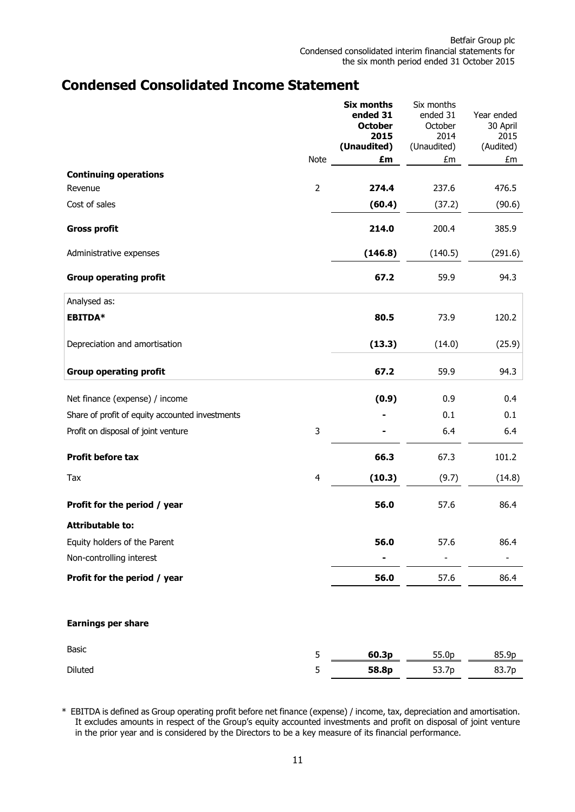## **Condensed Consolidated Income Statement**

|                                                 |                | <b>Six months</b><br>ended 31<br><b>October</b><br>2015<br>(Unaudited) | Six months<br>ended 31<br>October<br>2014<br>(Unaudited) | Year ended<br>30 April<br>2015<br>(Audited) |
|-------------------------------------------------|----------------|------------------------------------------------------------------------|----------------------------------------------------------|---------------------------------------------|
|                                                 | Note           | £m                                                                     | £m                                                       | £m                                          |
| <b>Continuing operations</b>                    |                |                                                                        |                                                          |                                             |
| Revenue                                         | $\overline{2}$ | 274.4                                                                  | 237.6                                                    | 476.5                                       |
| Cost of sales                                   |                | (60.4)                                                                 | (37.2)                                                   | (90.6)                                      |
| <b>Gross profit</b>                             |                | 214.0                                                                  | 200.4                                                    | 385.9                                       |
| Administrative expenses                         |                | (146.8)                                                                | (140.5)                                                  | (291.6)                                     |
| <b>Group operating profit</b>                   |                | 67.2                                                                   | 59.9                                                     | 94.3                                        |
| Analysed as:                                    |                |                                                                        |                                                          |                                             |
| <b>EBITDA*</b>                                  |                | 80.5                                                                   | 73.9                                                     | 120.2                                       |
| Depreciation and amortisation                   |                | (13.3)                                                                 | (14.0)                                                   | (25.9)                                      |
| <b>Group operating profit</b>                   |                | 67.2                                                                   | 59.9                                                     | 94.3                                        |
| Net finance (expense) / income                  |                | (0.9)                                                                  | 0.9                                                      | 0.4                                         |
| Share of profit of equity accounted investments |                |                                                                        | 0.1                                                      | 0.1                                         |
| Profit on disposal of joint venture             | $\mathsf 3$    |                                                                        | 6.4                                                      | 6.4                                         |
| Profit before tax                               |                | 66.3                                                                   | 67.3                                                     | 101.2                                       |
| Tax                                             | $\overline{4}$ | (10.3)                                                                 | (9.7)                                                    | (14.8)                                      |
| Profit for the period / year                    |                | 56.0                                                                   | 57.6                                                     | 86.4                                        |
| <b>Attributable to:</b>                         |                |                                                                        |                                                          |                                             |
| Equity holders of the Parent                    |                | 56.0                                                                   | 57.6                                                     | 86.4                                        |
| Non-controlling interest                        |                |                                                                        |                                                          |                                             |
| Profit for the period / year                    |                | 56.0                                                                   | 57.6                                                     | 86.4                                        |
| <b>Earnings per share</b>                       |                |                                                                        |                                                          |                                             |
| Basic                                           | 5              | 60.3p                                                                  | 55.0p                                                    | 85.9p                                       |
| Diluted                                         | 5              | 58.8p                                                                  | 53.7p                                                    | 83.7p                                       |

\* EBITDA is defined as Group operating profit before net finance (expense) / income, tax, depreciation and amortisation. It excludes amounts in respect of the Group's equity accounted investments and profit on disposal of joint venture in the prior year and is considered by the Directors to be a key measure of its financial performance.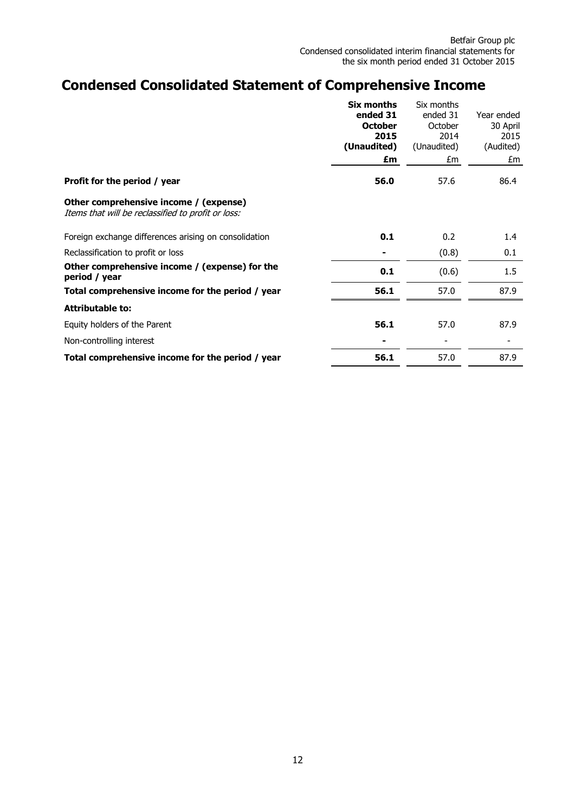# **Condensed Consolidated Statement of Comprehensive Income**

|                                                                                              | Six months<br>ended 31 | Six months<br>ended 31 | Year ended |
|----------------------------------------------------------------------------------------------|------------------------|------------------------|------------|
|                                                                                              | <b>October</b>         | October                | 30 April   |
|                                                                                              | 2015                   | 2014                   | 2015       |
|                                                                                              | (Unaudited)            | (Unaudited)            | (Audited)  |
|                                                                                              | £m                     | £m                     | £m         |
| Profit for the period / year                                                                 | 56.0                   | 57.6                   | 86.4       |
| Other comprehensive income / (expense)<br>Items that will be reclassified to profit or loss: |                        |                        |            |
| Foreign exchange differences arising on consolidation                                        | 0.1                    | 0.2                    | 1.4        |
| Reclassification to profit or loss                                                           |                        | (0.8)                  | 0.1        |
| Other comprehensive income / (expense) for the<br>period / year                              | 0.1                    | (0.6)                  | 1.5        |
| Total comprehensive income for the period / year                                             | 56.1                   | 57.0                   | 87.9       |
| <b>Attributable to:</b>                                                                      |                        |                        |            |
| Equity holders of the Parent                                                                 | 56.1                   | 57.0                   | 87.9       |
| Non-controlling interest                                                                     |                        |                        |            |
| Total comprehensive income for the period / year                                             | 56.1                   | 57.0                   | 87.9       |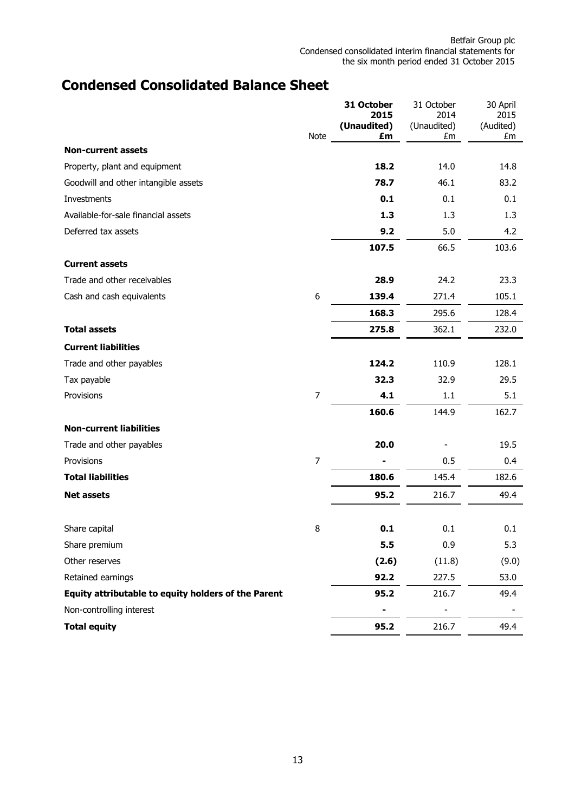# **Condensed Consolidated Balance Sheet**

|                                                     |                  | 31 October<br>2015 | 31 October<br>2014 | 30 April<br>2015 |
|-----------------------------------------------------|------------------|--------------------|--------------------|------------------|
|                                                     |                  | (Unaudited)        | (Unaudited)        | (Audited)        |
| <b>Non-current assets</b>                           | Note             | £m                 | £m                 | £m               |
| Property, plant and equipment                       |                  | 18.2               | 14.0               | 14.8             |
| Goodwill and other intangible assets                |                  | 78.7               | 46.1               | 83.2             |
| Investments                                         |                  | 0.1                | 0.1                | 0.1              |
| Available-for-sale financial assets                 |                  | 1.3                | 1.3                | 1.3              |
| Deferred tax assets                                 |                  | 9.2                | 5.0                | 4.2              |
|                                                     |                  | 107.5              | 66.5               | 103.6            |
| <b>Current assets</b>                               |                  |                    |                    |                  |
| Trade and other receivables                         |                  | 28.9               | 24.2               | 23.3             |
| Cash and cash equivalents                           | $\boldsymbol{6}$ | 139.4              | 271.4              | 105.1            |
|                                                     |                  | 168.3              | 295.6              | 128.4            |
| <b>Total assets</b>                                 |                  | 275.8              | 362.1              | 232.0            |
| <b>Current liabilities</b>                          |                  |                    |                    |                  |
| Trade and other payables                            |                  | 124.2              | 110.9              | 128.1            |
| Tax payable                                         |                  | 32.3               | 32.9               | 29.5             |
| Provisions                                          | 7                | 4.1                | 1.1                | 5.1              |
|                                                     |                  | 160.6              | 144.9              | 162.7            |
| <b>Non-current liabilities</b>                      |                  |                    |                    |                  |
| Trade and other payables                            |                  | 20.0               |                    | 19.5             |
| Provisions                                          | $\overline{7}$   |                    | 0.5                | 0.4              |
| <b>Total liabilities</b>                            |                  | 180.6              | 145.4              | 182.6            |
| <b>Net assets</b>                                   |                  | 95.2               | 216.7              | 49.4             |
|                                                     |                  |                    |                    |                  |
| Share capital                                       | 8                | 0.1                | 0.1                | 0.1              |
| Share premium                                       |                  | 5.5                | 0.9                | 5.3              |
| Other reserves                                      |                  | (2.6)              | (11.8)             | (9.0)            |
| Retained earnings                                   |                  | 92.2               | 227.5              | 53.0             |
| Equity attributable to equity holders of the Parent |                  | 95.2               | 216.7              | 49.4             |
| Non-controlling interest                            |                  |                    |                    |                  |
| <b>Total equity</b>                                 |                  | 95.2               | 216.7              | 49.4             |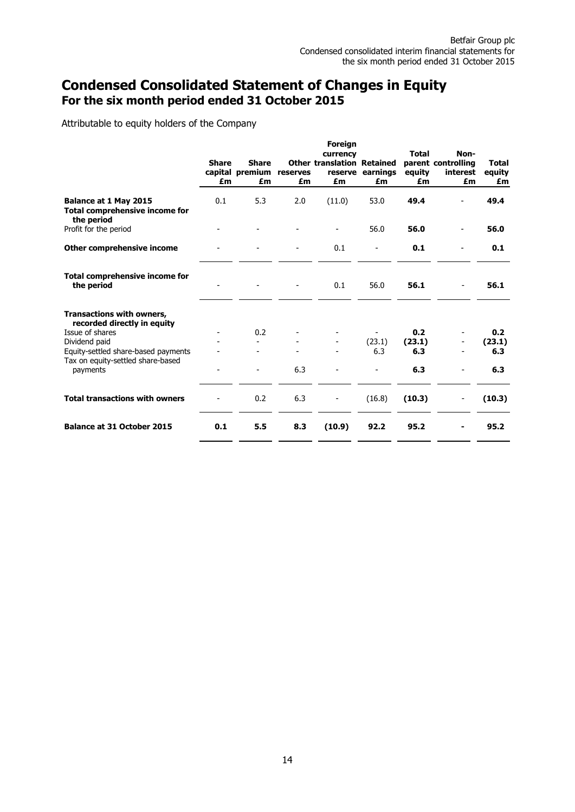## **Condensed Consolidated Statement of Changes in Equity For the six month period ended 31 October 2015**

Attributable to equity holders of the Company

|                                                                              | <b>Share</b><br>£m | <b>Share</b><br>capital premium<br>£m | reserves<br>£m | <b>Foreign</b><br>currency<br><b>Other translation Retained</b><br>£m | reserve earnings<br>£m | <b>Total</b><br>equity<br>£m | Non-<br>parent controlling<br>interest<br>£m | <b>Total</b><br>equity<br>£m |
|------------------------------------------------------------------------------|--------------------|---------------------------------------|----------------|-----------------------------------------------------------------------|------------------------|------------------------------|----------------------------------------------|------------------------------|
|                                                                              |                    |                                       |                |                                                                       |                        |                              |                                              |                              |
| Balance at 1 May 2015<br><b>Total comprehensive income for</b><br>the period | 0.1                | 5.3                                   | 2.0            | (11.0)                                                                | 53.0                   | 49.4                         |                                              | 49.4                         |
| Profit for the period                                                        |                    |                                       |                |                                                                       | 56.0                   | 56.0                         |                                              | 56.0                         |
| Other comprehensive income                                                   |                    |                                       |                | 0.1                                                                   |                        | 0.1                          |                                              | 0.1                          |
| <b>Total comprehensive income for</b><br>the period                          |                    |                                       |                | 0.1                                                                   | 56.0                   | 56.1                         |                                              | 56.1                         |
| <b>Transactions with owners,</b><br>recorded directly in equity              |                    |                                       |                |                                                                       |                        |                              |                                              |                              |
| Issue of shares                                                              |                    | 0.2                                   |                |                                                                       |                        | 0.2                          |                                              | 0.2                          |
| Dividend paid                                                                |                    |                                       |                |                                                                       | (23.1)                 | (23.1)                       |                                              | (23.1)                       |
| Equity-settled share-based payments                                          |                    |                                       |                |                                                                       | 6.3                    | 6.3                          |                                              | 6.3                          |
| Tax on equity-settled share-based<br>payments                                |                    |                                       | 6.3            |                                                                       |                        | 6.3                          |                                              | 6.3                          |
| <b>Total transactions with owners</b>                                        |                    | 0.2                                   | 6.3            |                                                                       | (16.8)                 | (10.3)                       |                                              | (10.3)                       |
| <b>Balance at 31 October 2015</b>                                            | 0.1                | 5.5                                   | 8.3            | (10.9)                                                                | 92.2                   | 95.2                         |                                              | 95.2                         |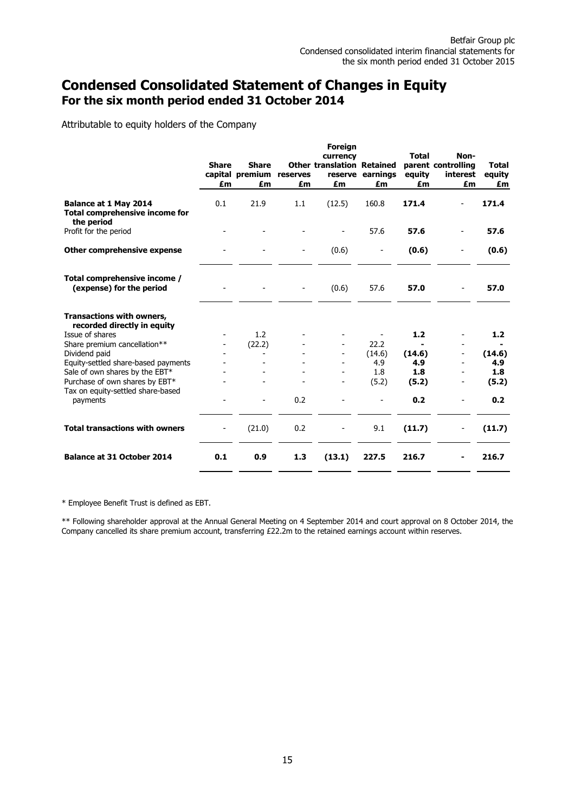## **Condensed Consolidated Statement of Changes in Equity For the six month period ended 31 October 2014**

Attributable to equity holders of the Company

|                                                                              |                    |                                       |                | <b>Foreign</b>                                      |                          |                              |                                              |                              |
|------------------------------------------------------------------------------|--------------------|---------------------------------------|----------------|-----------------------------------------------------|--------------------------|------------------------------|----------------------------------------------|------------------------------|
|                                                                              | <b>Share</b><br>£m | <b>Share</b><br>capital premium<br>£m | reserves<br>£m | currency<br><b>Other translation Retained</b><br>£m | reserve earnings<br>£m   | <b>Total</b><br>equity<br>£m | Non-<br>parent controlling<br>interest<br>£m | <b>Total</b><br>equity<br>£m |
| Balance at 1 May 2014<br><b>Total comprehensive income for</b><br>the period | 0.1                | 21.9                                  | 1.1            | (12.5)                                              | 160.8                    | 171.4                        |                                              | 171.4                        |
| Profit for the period                                                        |                    |                                       |                |                                                     | 57.6                     | 57.6                         |                                              | 57.6                         |
| Other comprehensive expense                                                  |                    |                                       |                | (0.6)                                               | $\overline{\phantom{a}}$ | (0.6)                        |                                              | (0.6)                        |
| Total comprehensive income /<br>(expense) for the period                     |                    |                                       |                | (0.6)                                               | 57.6                     | 57.0                         |                                              | 57.0                         |
| Transactions with owners,<br>recorded directly in equity                     |                    |                                       |                |                                                     |                          |                              |                                              |                              |
| Issue of shares                                                              |                    | 1.2                                   |                |                                                     |                          | 1.2                          |                                              | 1.2                          |
| Share premium cancellation**                                                 |                    | (22.2)                                |                |                                                     | 22.2                     |                              |                                              |                              |
| Dividend paid<br>Equity-settled share-based payments                         |                    |                                       |                |                                                     | (14.6)<br>4.9            | (14.6)<br>4.9                |                                              | (14.6)<br>4.9                |
| Sale of own shares by the EBT*                                               |                    |                                       |                |                                                     | 1.8                      | 1.8                          |                                              | 1.8                          |
| Purchase of own shares by EBT*                                               |                    |                                       |                |                                                     | (5.2)                    | (5.2)                        |                                              | (5.2)                        |
| Tax on equity-settled share-based<br>payments                                |                    |                                       | 0.2            |                                                     |                          | 0.2                          |                                              | 0.2                          |
| <b>Total transactions with owners</b>                                        |                    | (21.0)                                | 0.2            |                                                     | 9.1                      | (11.7)                       |                                              | (11.7)                       |
| <b>Balance at 31 October 2014</b>                                            | 0.1                | 0.9                                   | 1.3            | (13.1)                                              | 227.5                    | 216.7                        |                                              | 216.7                        |

\* Employee Benefit Trust is defined as EBT.

\*\* Following shareholder approval at the Annual General Meeting on 4 September 2014 and court approval on 8 October 2014, the Company cancelled its share premium account, transferring £22.2m to the retained earnings account within reserves.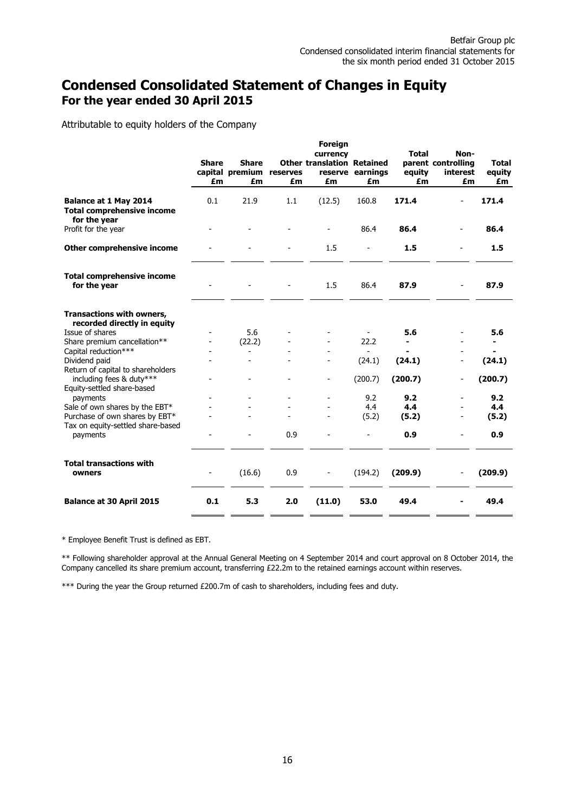## **Condensed Consolidated Statement of Changes in Equity For the year ended 30 April 2015**

Attributable to equity holders of the Company

|                                                                            |              |                 |                | Foreign                                       |                          |              |                            |              |
|----------------------------------------------------------------------------|--------------|-----------------|----------------|-----------------------------------------------|--------------------------|--------------|----------------------------|--------------|
|                                                                            | <b>Share</b> | <b>Share</b>    |                | currency<br><b>Other translation Retained</b> |                          | <b>Total</b> | Non-<br>parent controlling | <b>Total</b> |
|                                                                            |              | capital premium | reserves       |                                               | reserve earnings         | equity       | interest                   | equity       |
|                                                                            | £m           | £m              | £m             | £m                                            | £m                       | £m           | £m                         | £m           |
| Balance at 1 May 2014<br><b>Total comprehensive income</b><br>for the year | 0.1          | 21.9            | 1.1            | (12.5)                                        | 160.8                    | 171.4        |                            | 171.4        |
| Profit for the year                                                        |              |                 |                |                                               | 86.4                     | 86.4         |                            | 86.4         |
| <b>Other comprehensive income</b>                                          |              |                 |                | 1.5                                           | $\overline{\phantom{a}}$ | 1.5          |                            | 1.5          |
| <b>Total comprehensive income</b><br>for the year                          |              |                 |                | 1.5                                           | 86.4                     | 87.9         |                            | 87.9         |
| Transactions with owners,<br>recorded directly in equity                   |              |                 |                |                                               |                          |              |                            |              |
| Issue of shares                                                            |              | 5.6             |                |                                               |                          | 5.6          |                            | 5.6          |
| Share premium cancellation**                                               |              | (22.2)          |                |                                               | 22.2                     |              |                            |              |
| Capital reduction***                                                       |              | ۰               |                |                                               | $\sim$                   |              |                            |              |
| Dividend paid                                                              |              | $\overline{a}$  |                |                                               | (24.1)                   | (24.1)       | $\overline{\phantom{0}}$   | (24.1)       |
| Return of capital to shareholders<br>including fees & duty***              |              | ۳               | $\overline{a}$ | $\overline{a}$                                | (200.7)                  | (200.7)      | $\overline{\phantom{0}}$   | (200.7)      |
| Equity-settled share-based                                                 |              |                 |                |                                               |                          |              |                            |              |
| payments                                                                   |              |                 |                |                                               | 9.2                      | 9.2          |                            | 9.2          |
| Sale of own shares by the EBT*                                             |              |                 |                |                                               | 4.4                      | 4.4          |                            | 4.4          |
| Purchase of own shares by EBT*                                             |              |                 |                |                                               | (5.2)                    | (5.2)        |                            | (5.2)        |
| Tax on equity-settled share-based<br>payments                              |              |                 | 0.9            |                                               |                          | 0.9          |                            | 0.9          |
| <b>Total transactions with</b><br>owners                                   | -            | (16.6)          | 0.9            |                                               | (194.2)                  | (209.9)      | ۰                          | (209.9)      |
| <b>Balance at 30 April 2015</b>                                            | 0.1          | 5.3             | 2.0            | (11.0)                                        | 53.0                     | 49.4         |                            | 49.4         |

\* Employee Benefit Trust is defined as EBT.

\*\* Following shareholder approval at the Annual General Meeting on 4 September 2014 and court approval on 8 October 2014, the Company cancelled its share premium account, transferring £22.2m to the retained earnings account within reserves.

\*\*\* During the year the Group returned £200.7m of cash to shareholders, including fees and duty.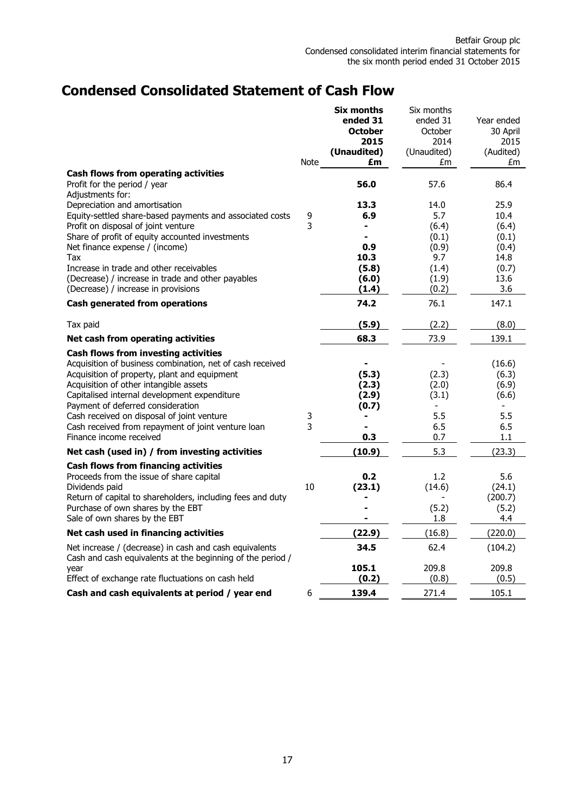# **Condensed Consolidated Statement of Cash Flow**

|                                                                                                                                                                                                                                                                                                                                                                                                                        | Note   | <b>Six months</b><br>ended 31<br><b>October</b><br>2015<br>(Unaudited)<br>£m | Six months<br>ended 31<br>October<br>2014<br>(Unaudited)<br>£m  | Year ended<br>30 April<br>2015<br>(Audited)<br>£m                |
|------------------------------------------------------------------------------------------------------------------------------------------------------------------------------------------------------------------------------------------------------------------------------------------------------------------------------------------------------------------------------------------------------------------------|--------|------------------------------------------------------------------------------|-----------------------------------------------------------------|------------------------------------------------------------------|
| Cash flows from operating activities<br>Profit for the period / year<br>Adjustments for:                                                                                                                                                                                                                                                                                                                               |        | 56.0                                                                         | 57.6                                                            | 86.4                                                             |
| Depreciation and amortisation<br>Equity-settled share-based payments and associated costs<br>Profit on disposal of joint venture<br>Share of profit of equity accounted investments<br>Net finance expense / (income)<br>Tax<br>Increase in trade and other receivables<br>(Decrease) / increase in trade and other payables                                                                                           | 9<br>3 | 13.3<br>6.9<br>0.9<br>10.3<br>(5.8)<br>(6.0)                                 | 14.0<br>5.7<br>(6.4)<br>(0.1)<br>(0.9)<br>9.7<br>(1.4)<br>(1.9) | 25.9<br>10.4<br>(6.4)<br>(0.1)<br>(0.4)<br>14.8<br>(0.7)<br>13.6 |
| (Decrease) / increase in provisions                                                                                                                                                                                                                                                                                                                                                                                    |        | (1.4)                                                                        | (0.2)                                                           | 3.6                                                              |
| <b>Cash generated from operations</b>                                                                                                                                                                                                                                                                                                                                                                                  |        | 74.2                                                                         | 76.1                                                            | 147.1                                                            |
| Tax paid                                                                                                                                                                                                                                                                                                                                                                                                               |        | (5.9)                                                                        | (2.2)                                                           | (8.0)                                                            |
| Net cash from operating activities                                                                                                                                                                                                                                                                                                                                                                                     |        | 68.3                                                                         | 73.9                                                            | 139.1                                                            |
| <b>Cash flows from investing activities</b><br>Acquisition of business combination, net of cash received<br>Acquisition of property, plant and equipment<br>Acquisition of other intangible assets<br>Capitalised internal development expenditure<br>Payment of deferred consideration<br>Cash received on disposal of joint venture<br>Cash received from repayment of joint venture loan<br>Finance income received | 3<br>3 | (5.3)<br>(2.3)<br>(2.9)<br>(0.7)<br>0.3                                      | (2.3)<br>(2.0)<br>(3.1)<br>5.5<br>6.5<br>0.7                    | (16.6)<br>(6.3)<br>(6.9)<br>(6.6)<br>5.5<br>6.5<br>1.1           |
| Net cash (used in) / from investing activities                                                                                                                                                                                                                                                                                                                                                                         |        | (10.9)                                                                       | 5.3                                                             | (23.3)                                                           |
| <b>Cash flows from financing activities</b><br>Proceeds from the issue of share capital<br>Dividends paid<br>Return of capital to shareholders, including fees and duty<br>Purchase of own shares by the EBT<br>Sale of own shares by the EBT                                                                                                                                                                          | 10     | 0.2<br>(23.1)                                                                | 1.2<br>(14.6)<br>(5.2)<br>1.8                                   | 5.6<br>(24.1)<br>(200.7)<br>(5.2)<br>4.4                         |
| Net cash used in financing activities                                                                                                                                                                                                                                                                                                                                                                                  |        | (22.9)                                                                       | (16.8)                                                          | (220.0)                                                          |
| Net increase / (decrease) in cash and cash equivalents<br>Cash and cash equivalents at the beginning of the period /<br>year                                                                                                                                                                                                                                                                                           |        | 34.5<br>105.1                                                                | 62.4<br>209.8                                                   | (104.2)<br>209.8                                                 |
| Effect of exchange rate fluctuations on cash held                                                                                                                                                                                                                                                                                                                                                                      |        | (0.2)                                                                        | (0.8)                                                           | (0.5)                                                            |
| Cash and cash equivalents at period / year end                                                                                                                                                                                                                                                                                                                                                                         | 6      | 139.4                                                                        | 271.4                                                           | 105.1                                                            |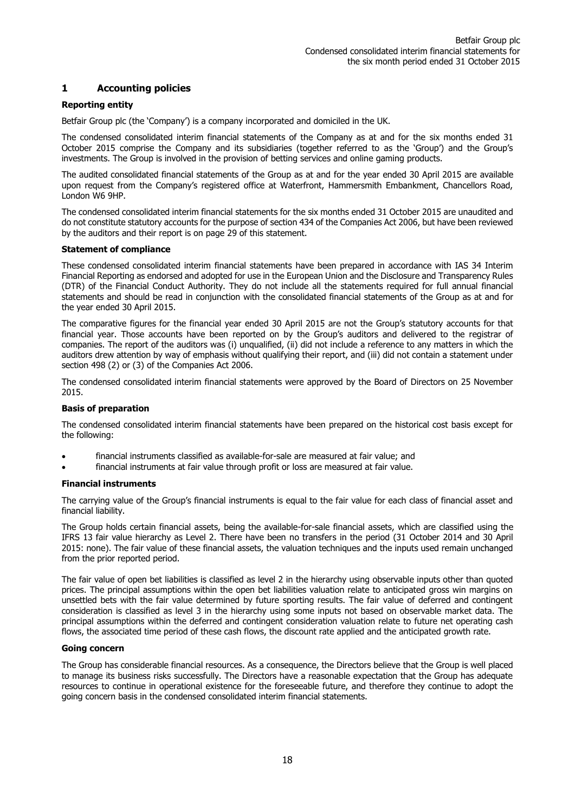## **1 Accounting policies**

### **Reporting entity**

Betfair Group plc (the 'Company') is a company incorporated and domiciled in the UK.

The condensed consolidated interim financial statements of the Company as at and for the six months ended 31 October 2015 comprise the Company and its subsidiaries (together referred to as the 'Group') and the Group's investments. The Group is involved in the provision of betting services and online gaming products.

The audited consolidated financial statements of the Group as at and for the year ended 30 April 2015 are available upon request from the Company's registered office at Waterfront, Hammersmith Embankment, Chancellors Road, London W6 9HP.

The condensed consolidated interim financial statements for the six months ended 31 October 2015 are unaudited and do not constitute statutory accounts for the purpose of section 434 of the Companies Act 2006, but have been reviewed by the auditors and their report is on page 29 of this statement.

#### **Statement of compliance**

These condensed consolidated interim financial statements have been prepared in accordance with IAS 34 Interim Financial Reporting as endorsed and adopted for use in the European Union and the Disclosure and Transparency Rules (DTR) of the Financial Conduct Authority. They do not include all the statements required for full annual financial statements and should be read in conjunction with the consolidated financial statements of the Group as at and for the year ended 30 April 2015.

The comparative figures for the financial year ended 30 April 2015 are not the Group's statutory accounts for that financial year. Those accounts have been reported on by the Group's auditors and delivered to the registrar of companies. The report of the auditors was (i) unqualified, (ii) did not include a reference to any matters in which the auditors drew attention by way of emphasis without qualifying their report, and (iii) did not contain a statement under section 498 (2) or (3) of the Companies Act 2006.

The condensed consolidated interim financial statements were approved by the Board of Directors on 25 November 2015.

#### **Basis of preparation**

The condensed consolidated interim financial statements have been prepared on the historical cost basis except for the following:

- financial instruments classified as available-for-sale are measured at fair value; and
- financial instruments at fair value through profit or loss are measured at fair value.

#### **Financial instruments**

The carrying value of the Group's financial instruments is equal to the fair value for each class of financial asset and financial liability.

The Group holds certain financial assets, being the available-for-sale financial assets, which are classified using the IFRS 13 fair value hierarchy as Level 2. There have been no transfers in the period (31 October 2014 and 30 April 2015: none). The fair value of these financial assets, the valuation techniques and the inputs used remain unchanged from the prior reported period.

The fair value of open bet liabilities is classified as level 2 in the hierarchy using observable inputs other than quoted prices. The principal assumptions within the open bet liabilities valuation relate to anticipated gross win margins on unsettled bets with the fair value determined by future sporting results. The fair value of deferred and contingent consideration is classified as level 3 in the hierarchy using some inputs not based on observable market data. The principal assumptions within the deferred and contingent consideration valuation relate to future net operating cash flows, the associated time period of these cash flows, the discount rate applied and the anticipated growth rate.

#### **Going concern**

The Group has considerable financial resources. As a consequence, the Directors believe that the Group is well placed to manage its business risks successfully. The Directors have a reasonable expectation that the Group has adequate resources to continue in operational existence for the foreseeable future, and therefore they continue to adopt the going concern basis in the condensed consolidated interim financial statements.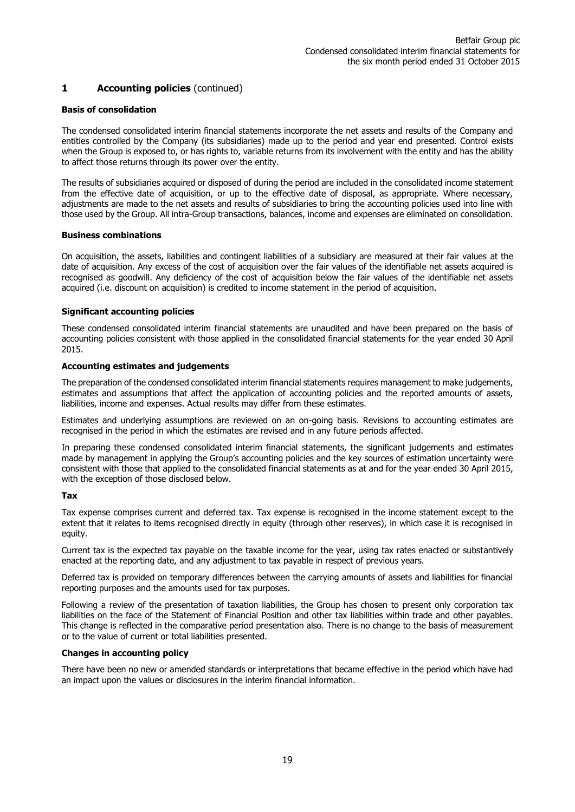## **1 Accounting policies** (continued)

#### **Basis of consolidation**

The condensed consolidated interim financial statements incorporate the net assets and results of the Company and entities controlled by the Company (its subsidiaries) made up to the period and year end presented. Control exists when the Group is exposed to, or has rights to, variable returns from its involvement with the entity and has the ability to affect those returns through its power over the entity.

The results of subsidiaries acquired or disposed of during the period are included in the consolidated income statement from the effective date of acquisition, or up to the effective date of disposal, as appropriate. Where necessary, adjustments are made to the net assets and results of subsidiaries to bring the accounting policies used into line with those used by the Group. All intra-Group transactions, balances, income and expenses are eliminated on consolidation.

#### **Business combinations**

On acquisition, the assets, liabilities and contingent liabilities of a subsidiary are measured at their fair values at the date of acquisition. Any excess of the cost of acquisition over the fair values of the identifiable net assets acquired is recognised as goodwill. Any deficiency of the cost of acquisition below the fair values of the identifiable net assets acquired (i.e. discount on acquisition) is credited to income statement in the period of acquisition.

#### **Significant accounting policies**

These condensed consolidated interim financial statements are unaudited and have been prepared on the basis of accounting policies consistent with those applied in the consolidated financial statements for the year ended 30 April 2015.

#### **Accounting estimates and judgements**

The preparation of the condensed consolidated interim financial statements requires management to make judgements, estimates and assumptions that affect the application of accounting policies and the reported amounts of assets, liabilities, income and expenses. Actual results may differ from these estimates.

Estimates and underlying assumptions are reviewed on an on-going basis. Revisions to accounting estimates are recognised in the period in which the estimates are revised and in any future periods affected.

In preparing these condensed consolidated interim financial statements, the significant judgements and estimates made by management in applying the Group's accounting policies and the key sources of estimation uncertainty were consistent with those that applied to the consolidated financial statements as at and for the year ended 30 April 2015, with the exception of those disclosed below.

#### **Tax**

Tax expense comprises current and deferred tax. Tax expense is recognised in the income statement except to the extent that it relates to items recognised directly in equity (through other reserves), in which case it is recognised in equity.

Current tax is the expected tax payable on the taxable income for the year, using tax rates enacted or substantively enacted at the reporting date, and any adjustment to tax payable in respect of previous years.

Deferred tax is provided on temporary differences between the carrying amounts of assets and liabilities for financial reporting purposes and the amounts used for tax purposes.

Following a review of the presentation of taxation liabilities, the Group has chosen to present only corporation tax liabilities on the face of the Statement of Financial Position and other tax liabilities within trade and other payables. This change is reflected in the comparative period presentation also. There is no change to the basis of measurement or to the value of current or total liabilities presented.

#### **Changes in accounting policy**

There have been no new or amended standards or interpretations that became effective in the period which have had an impact upon the values or disclosures in the interim financial information.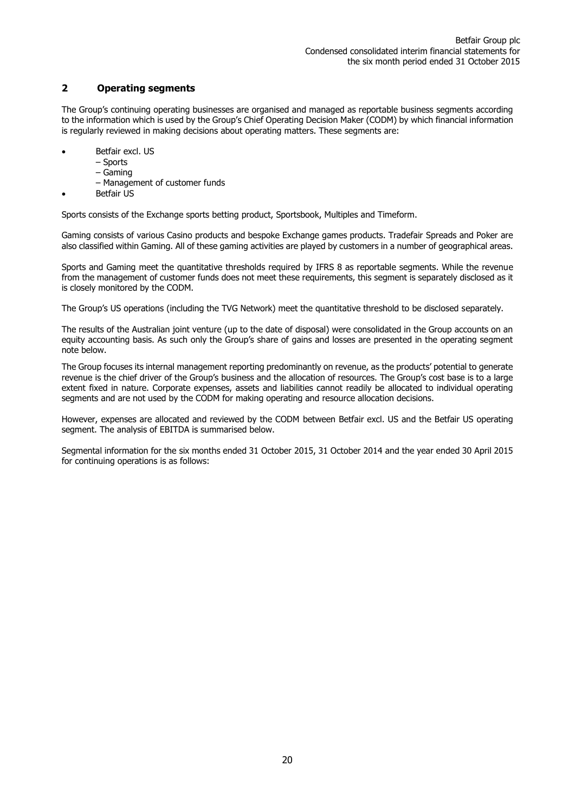## **2 Operating segments**

The Group's continuing operating businesses are organised and managed as reportable business segments according to the information which is used by the Group's Chief Operating Decision Maker (CODM) by which financial information is regularly reviewed in making decisions about operating matters. These segments are:

- Betfair excl. US
	- Sports
		- Gaming
		- Management of customer funds
- Betfair US

Sports consists of the Exchange sports betting product, Sportsbook, Multiples and Timeform.

Gaming consists of various Casino products and bespoke Exchange games products. Tradefair Spreads and Poker are also classified within Gaming. All of these gaming activities are played by customers in a number of geographical areas.

Sports and Gaming meet the quantitative thresholds required by IFRS 8 as reportable segments. While the revenue from the management of customer funds does not meet these requirements, this segment is separately disclosed as it is closely monitored by the CODM.

The Group's US operations (including the TVG Network) meet the quantitative threshold to be disclosed separately.

The results of the Australian joint venture (up to the date of disposal) were consolidated in the Group accounts on an equity accounting basis. As such only the Group's share of gains and losses are presented in the operating segment note below.

The Group focuses its internal management reporting predominantly on revenue, as the products' potential to generate revenue is the chief driver of the Group's business and the allocation of resources. The Group's cost base is to a large extent fixed in nature. Corporate expenses, assets and liabilities cannot readily be allocated to individual operating segments and are not used by the CODM for making operating and resource allocation decisions.

However, expenses are allocated and reviewed by the CODM between Betfair excl. US and the Betfair US operating segment. The analysis of EBITDA is summarised below.

Segmental information for the six months ended 31 October 2015, 31 October 2014 and the year ended 30 April 2015 for continuing operations is as follows: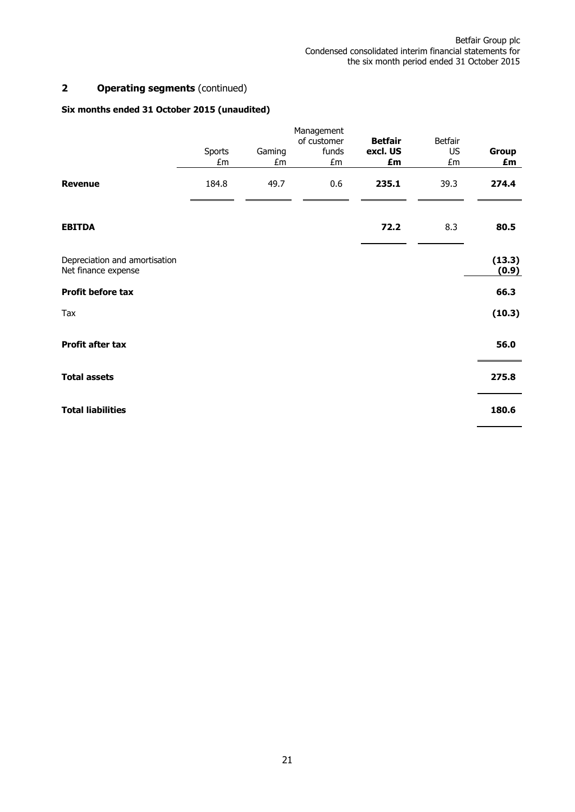## **2 Operating segments** (continued)

## **Six months ended 31 October 2015 (unaudited)**

|                                                      |              |              | Management                 |                                  |                                   |                 |
|------------------------------------------------------|--------------|--------------|----------------------------|----------------------------------|-----------------------------------|-----------------|
|                                                      | Sports<br>£m | Gaming<br>£m | of customer<br>funds<br>£m | <b>Betfair</b><br>excl. US<br>£m | <b>Betfair</b><br><b>US</b><br>£m | Group<br>£m     |
| <b>Revenue</b>                                       | 184.8        | 49.7         | 0.6                        | 235.1                            | 39.3                              | 274.4           |
| <b>EBITDA</b>                                        |              |              |                            | 72.2                             | 8.3                               | 80.5            |
| Depreciation and amortisation<br>Net finance expense |              |              |                            |                                  |                                   | (13.3)<br>(0.9) |
| Profit before tax                                    |              |              |                            |                                  |                                   | 66.3            |
| Tax                                                  |              |              |                            |                                  |                                   | (10.3)          |
| Profit after tax                                     |              |              |                            |                                  |                                   | 56.0            |
| <b>Total assets</b>                                  |              |              |                            |                                  |                                   | 275.8           |
| <b>Total liabilities</b>                             |              |              |                            |                                  |                                   | 180.6           |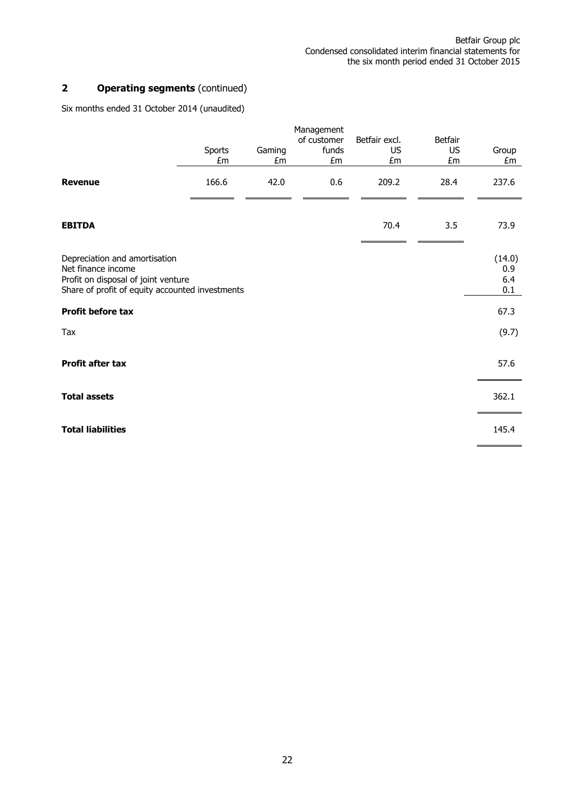## **2 Operating segments** (continued)

Six months ended 31 October 2014 (unaudited)

|                                                                                                                                               | Sports<br>£m | Gaming<br>£m | Management<br>of customer<br>funds<br>£m | Betfair excl.<br><b>US</b><br>£m | <b>Betfair</b><br><b>US</b><br>£m | Group<br>£m                 |
|-----------------------------------------------------------------------------------------------------------------------------------------------|--------------|--------------|------------------------------------------|----------------------------------|-----------------------------------|-----------------------------|
| <b>Revenue</b>                                                                                                                                | 166.6        | 42.0         | 0.6                                      | 209.2                            | 28.4                              | 237.6                       |
| <b>EBITDA</b>                                                                                                                                 |              |              |                                          | 70.4                             | 3.5                               | 73.9                        |
| Depreciation and amortisation<br>Net finance income<br>Profit on disposal of joint venture<br>Share of profit of equity accounted investments |              |              |                                          |                                  |                                   | (14.0)<br>0.9<br>6.4<br>0.1 |
| Profit before tax                                                                                                                             |              |              |                                          |                                  |                                   | 67.3                        |
| Tax                                                                                                                                           |              |              |                                          |                                  |                                   | (9.7)                       |
| Profit after tax                                                                                                                              |              |              |                                          |                                  |                                   | 57.6                        |
| <b>Total assets</b>                                                                                                                           |              |              |                                          |                                  |                                   | 362.1                       |
| <b>Total liabilities</b>                                                                                                                      |              |              |                                          |                                  |                                   | 145.4                       |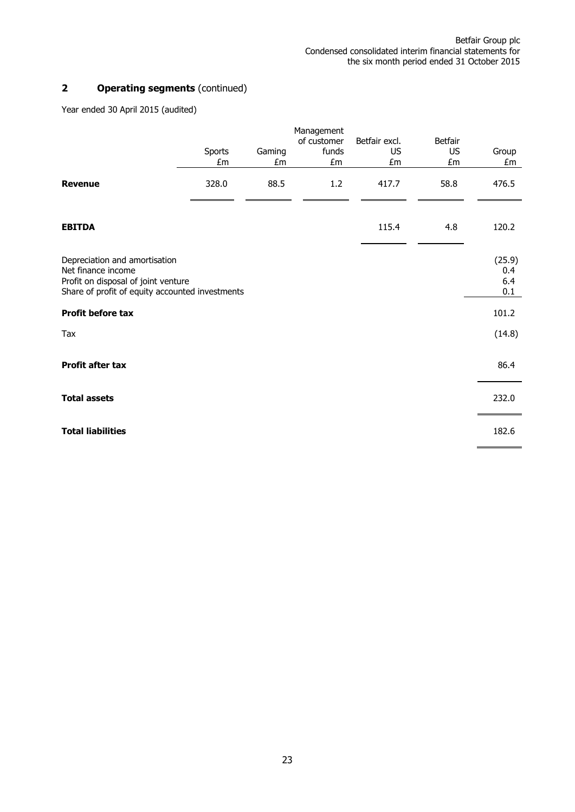## **2 Operating segments** (continued)

Year ended 30 April 2015 (audited)

|                                                                                                                                               |              |              | Management                 |                                  |                            |                             |
|-----------------------------------------------------------------------------------------------------------------------------------------------|--------------|--------------|----------------------------|----------------------------------|----------------------------|-----------------------------|
|                                                                                                                                               | Sports<br>£m | Gaming<br>£m | of customer<br>funds<br>£m | Betfair excl.<br><b>US</b><br>£m | Betfair<br><b>US</b><br>£m | Group<br>£m                 |
| <b>Revenue</b>                                                                                                                                | 328.0        | 88.5         | 1.2                        | 417.7                            | 58.8                       | 476.5                       |
| <b>EBITDA</b>                                                                                                                                 |              |              |                            | 115.4                            | 4.8                        | 120.2                       |
| Depreciation and amortisation<br>Net finance income<br>Profit on disposal of joint venture<br>Share of profit of equity accounted investments |              |              |                            |                                  |                            | (25.9)<br>0.4<br>6.4<br>0.1 |
| Profit before tax                                                                                                                             |              |              |                            |                                  |                            | 101.2                       |
| Tax                                                                                                                                           |              |              |                            |                                  |                            | (14.8)                      |
| <b>Profit after tax</b>                                                                                                                       |              |              |                            |                                  |                            | 86.4                        |
| <b>Total assets</b>                                                                                                                           |              |              |                            |                                  |                            | 232.0                       |
| <b>Total liabilities</b>                                                                                                                      |              |              |                            |                                  |                            | 182.6                       |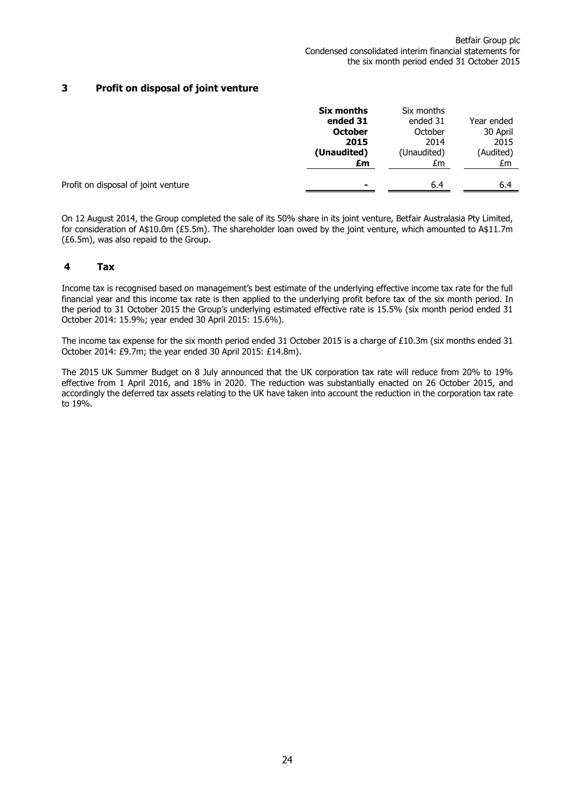## **3 Profit on disposal of joint venture**

|                                     | Six months<br>ended 31<br><b>October</b><br>2015<br>(Unaudited)<br>£m | Six months<br>ended 31<br>October<br>2014<br>(Unaudited)<br>£m | Year ended<br>30 April<br>2015<br>(Audited)<br>£m |
|-------------------------------------|-----------------------------------------------------------------------|----------------------------------------------------------------|---------------------------------------------------|
| Profit on disposal of joint venture | ۰                                                                     | 6.4                                                            | 6.4                                               |

On 12 August 2014, the Group completed the sale of its 50% share in its joint venture, Betfair Australasia Pty Limited, for consideration of A\$10.0m (£5.5m). The shareholder loan owed by the joint venture, which amounted to A\$11.7m (£6.5m), was also repaid to the Group.

#### **4 Tax**

Income tax is recognised based on management's best estimate of the underlying effective income tax rate for the full financial year and this income tax rate is then applied to the underlying profit before tax of the six month period. In the period to 31 October 2015 the Group's underlying estimated effective rate is 15.5% (six month period ended 31 October 2014: 15.9%; year ended 30 April 2015: 15.6%).

The income tax expense for the six month period ended 31 October 2015 is a charge of £10.3m (six months ended 31 October 2014: £9.7m; the year ended 30 April 2015: £14.8m).

The 2015 UK Summer Budget on 8 July announced that the UK corporation tax rate will reduce from 20% to 19% effective from 1 April 2016, and 18% in 2020. The reduction was substantially enacted on 26 October 2015, and accordingly the deferred tax assets relating to the UK have taken into account the reduction in the corporation tax rate to 19%.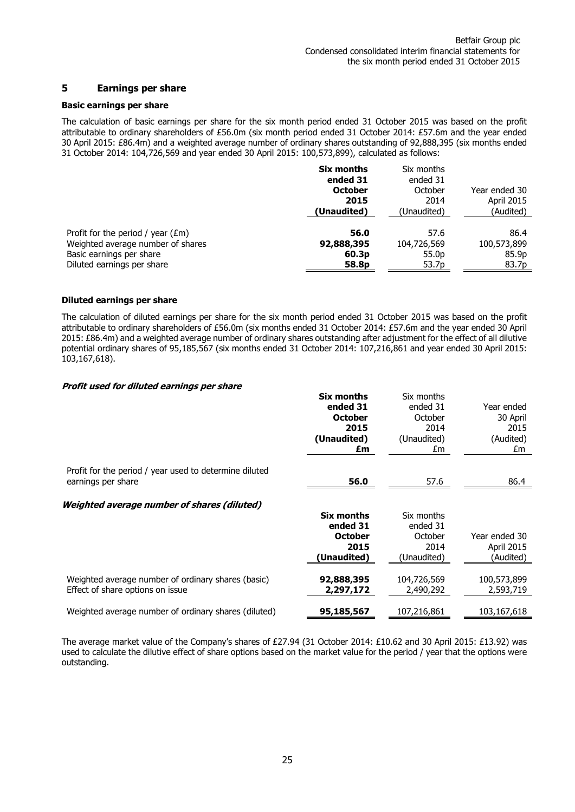#### **5 Earnings per share**

#### **Basic earnings per share**

The calculation of basic earnings per share for the six month period ended 31 October 2015 was based on the profit attributable to ordinary shareholders of £56.0m (six month period ended 31 October 2014: £57.6m and the year ended 30 April 2015: £86.4m) and a weighted average number of ordinary shares outstanding of 92,888,395 (six months ended 31 October 2014: 104,726,569 and year ended 30 April 2015: 100,573,899), calculated as follows:

|                                                         | Six months<br>ended 31<br><b>October</b><br>2015<br>(Unaudited) | Six months<br>ended 31<br>October<br>2014<br>(Unaudited) | Year ended 30<br><b>April 2015</b><br>(Audited) |
|---------------------------------------------------------|-----------------------------------------------------------------|----------------------------------------------------------|-------------------------------------------------|
| Profit for the period / year $(\text{\textsterling m})$ | 56.0                                                            | 57.6                                                     | 86.4                                            |
| Weighted average number of shares                       | 92,888,395                                                      | 104,726,569                                              | 100,573,899                                     |
| Basic earnings per share                                | 60.3 <sub>p</sub>                                               | 55.0 <sub>p</sub>                                        | 85.9p                                           |
| Diluted earnings per share                              | 58.8p                                                           | 53.7 <sub>p</sub>                                        | 83.7p                                           |

#### **Diluted earnings per share**

The calculation of diluted earnings per share for the six month period ended 31 October 2015 was based on the profit attributable to ordinary shareholders of £56.0m (six months ended 31 October 2014: £57.6m and the year ended 30 April 2015: £86.4m) and a weighted average number of ordinary shares outstanding after adjustment for the effect of all dilutive potential ordinary shares of 95,185,567 (six months ended 31 October 2014: 107,216,861 and year ended 30 April 2015: 103,167,618).

#### **Profit used for diluted earnings per share**

|                                                                                        | Six months<br>ended 31<br><b>October</b><br>2015<br>(Unaudited)<br>£m | Six months<br>ended 31<br>October<br>2014<br>(Unaudited)<br>£m | Year ended<br>30 April<br>2015<br>(Audited)<br>£m |
|----------------------------------------------------------------------------------------|-----------------------------------------------------------------------|----------------------------------------------------------------|---------------------------------------------------|
| Profit for the period / year used to determine diluted<br>earnings per share           | 56.0                                                                  | 57.6                                                           | 86.4                                              |
| Weighted average number of shares (diluted)                                            | Six months<br>ended 31<br><b>October</b><br>2015<br>(Unaudited)       | Six months<br>ended 31<br>October<br>2014<br>(Unaudited)       | Year ended 30<br><b>April 2015</b><br>(Audited)   |
| Weighted average number of ordinary shares (basic)<br>Effect of share options on issue | 92,888,395<br>2,297,172                                               | 104,726,569<br>2,490,292                                       | 100,573,899<br>2,593,719                          |
| Weighted average number of ordinary shares (diluted)                                   | 95,185,567                                                            | 107,216,861                                                    | 103,167,618                                       |
|                                                                                        |                                                                       |                                                                |                                                   |

The average market value of the Company's shares of £27.94 (31 October 2014: £10.62 and 30 April 2015: £13.92) was used to calculate the dilutive effect of share options based on the market value for the period / year that the options were outstanding.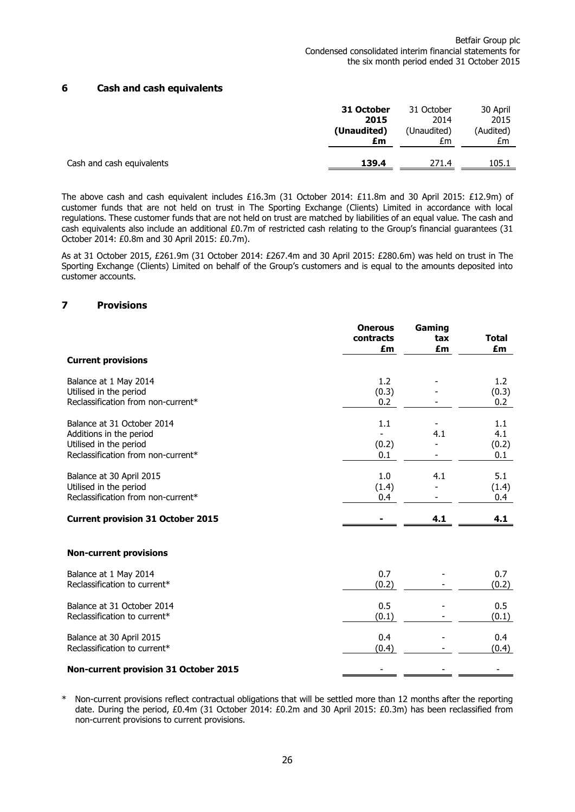## **6 Cash and cash equivalents**

|                           | 31 October  | 31 October  | 30 April  |
|---------------------------|-------------|-------------|-----------|
|                           | 2015        | 2014        | 2015      |
|                           | (Unaudited) | (Unaudited) | (Audited) |
|                           | £m          | £m          | £m        |
| Cash and cash equivalents | 139.4       | 271.4       | 105.1     |
|                           |             |             |           |

The above cash and cash equivalent includes £16.3m (31 October 2014: £11.8m and 30 April 2015: £12.9m) of customer funds that are not held on trust in The Sporting Exchange (Clients) Limited in accordance with local regulations. These customer funds that are not held on trust are matched by liabilities of an equal value. The cash and cash equivalents also include an additional £0.7m of restricted cash relating to the Group's financial guarantees (31 October 2014: £0.8m and 30 April 2015: £0.7m).

As at 31 October 2015, £261.9m (31 October 2014: £267.4m and 30 April 2015: £280.6m) was held on trust in The Sporting Exchange (Clients) Limited on behalf of the Group's customers and is equal to the amounts deposited into customer accounts.

### **7 Provisions**

|                                          | <b>Onerous</b><br>contracts<br>£m | Gaming<br>tax<br>£m | <b>Total</b><br>£m |
|------------------------------------------|-----------------------------------|---------------------|--------------------|
| <b>Current provisions</b>                |                                   |                     |                    |
| Balance at 1 May 2014                    | 1.2                               |                     | 1.2                |
| Utilised in the period                   | (0.3)                             |                     | (0.3)              |
| Reclassification from non-current*       | 0.2                               |                     | 0.2                |
| Balance at 31 October 2014               | 1.1                               |                     | 1.1                |
| Additions in the period                  |                                   | 4.1                 | 4.1                |
| Utilised in the period                   | (0.2)                             |                     | (0.2)              |
| Reclassification from non-current*       | 0.1                               |                     | 0.1                |
| Balance at 30 April 2015                 | 1.0                               | 4.1                 | 5.1                |
| Utilised in the period                   | (1.4)                             |                     | (1.4)              |
| Reclassification from non-current*       | 0.4                               |                     | 0.4                |
| <b>Current provision 31 October 2015</b> |                                   | 4.1                 | 4.1                |
| <b>Non-current provisions</b>            |                                   |                     |                    |
| Balance at 1 May 2014                    | 0.7                               |                     | 0.7                |
| Reclassification to current*             | (0.2)                             |                     | (0.2)              |
| Balance at 31 October 2014               | 0.5                               |                     | 0.5                |
| Reclassification to current*             | (0.1)                             |                     | (0.1)              |
| Balance at 30 April 2015                 | 0.4                               |                     | 0.4                |
| Reclassification to current*             | (0.4)                             |                     | (0.4)              |
| Non-current provision 31 October 2015    |                                   |                     |                    |

Non-current provisions reflect contractual obligations that will be settled more than 12 months after the reporting date. During the period, £0.4m (31 October 2014: £0.2m and 30 April 2015: £0.3m) has been reclassified from non-current provisions to current provisions.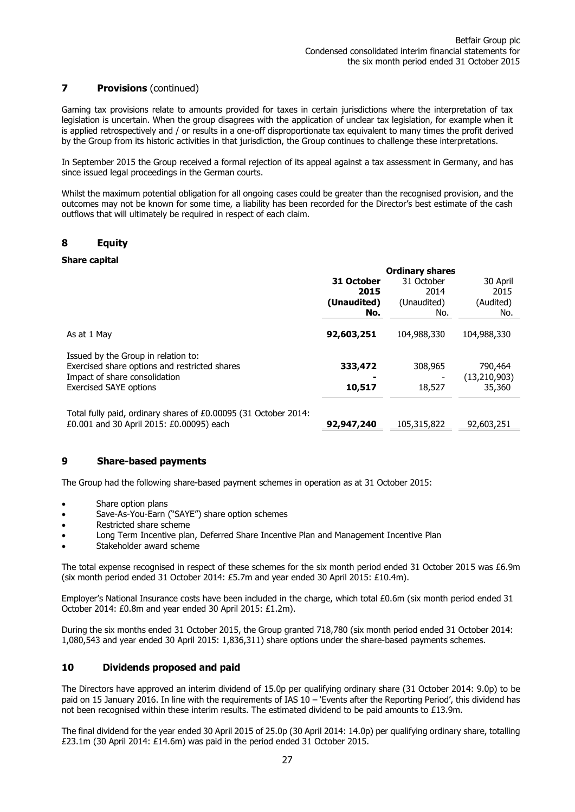## **7 Provisions** (continued)

Gaming tax provisions relate to amounts provided for taxes in certain jurisdictions where the interpretation of tax legislation is uncertain. When the group disagrees with the application of unclear tax legislation, for example when it is applied retrospectively and / or results in a one-off disproportionate tax equivalent to many times the profit derived by the Group from its historic activities in that jurisdiction, the Group continues to challenge these interpretations.

In September 2015 the Group received a formal rejection of its appeal against a tax assessment in Germany, and has since issued legal proceedings in the German courts.

Whilst the maximum potential obligation for all ongoing cases could be greater than the recognised provision, and the outcomes may not be known for some time, a liability has been recorded for the Director's best estimate of the cash outflows that will ultimately be required in respect of each claim.

## **8 Equity**

### **Share capital**

|                                                                 | <b>Ordinary shares</b> |             |                |  |
|-----------------------------------------------------------------|------------------------|-------------|----------------|--|
|                                                                 | 31 October             | 31 October  | 30 April       |  |
|                                                                 | 2015                   | 2014        | 2015           |  |
|                                                                 | (Unaudited)            | (Unaudited) | (Audited)      |  |
|                                                                 | No.                    | No.         | No.            |  |
| As at 1 May                                                     | 92,603,251             | 104,988,330 | 104,988,330    |  |
| Issued by the Group in relation to:                             |                        |             |                |  |
| Exercised share options and restricted shares                   | 333,472                | 308,965     | 790,464        |  |
| Impact of share consolidation                                   |                        |             | (13, 210, 903) |  |
| <b>Exercised SAYE options</b>                                   | 10,517                 | 18,527      | 35,360         |  |
| Total fully paid, ordinary shares of £0.00095 (31 October 2014: |                        |             |                |  |
| £0.001 and 30 April 2015: £0.00095) each                        | 92,947,240             | 105,315,822 | 92,603,251     |  |

## **9 Share-based payments**

The Group had the following share-based payment schemes in operation as at 31 October 2015:

- Share option plans
- Save-As-You-Earn ("SAYE") share option schemes
- Restricted share scheme
- Long Term Incentive plan, Deferred Share Incentive Plan and Management Incentive Plan
- Stakeholder award scheme

The total expense recognised in respect of these schemes for the six month period ended 31 October 2015 was £6.9m (six month period ended 31 October 2014: £5.7m and year ended 30 April 2015: £10.4m).

Employer's National Insurance costs have been included in the charge, which total £0.6m (six month period ended 31 October 2014: £0.8m and year ended 30 April 2015: £1.2m).

During the six months ended 31 October 2015, the Group granted 718,780 (six month period ended 31 October 2014: 1,080,543 and year ended 30 April 2015: 1,836,311) share options under the share-based payments schemes.

## **10 Dividends proposed and paid**

The Directors have approved an interim dividend of 15.0p per qualifying ordinary share (31 October 2014: 9.0p) to be paid on 15 January 2016. In line with the requirements of IAS 10 – 'Events after the Reporting Period', this dividend has not been recognised within these interim results. The estimated dividend to be paid amounts to £13.9m.

The final dividend for the year ended 30 April 2015 of 25.0p (30 April 2014: 14.0p) per qualifying ordinary share, totalling £23.1m (30 April 2014: £14.6m) was paid in the period ended 31 October 2015.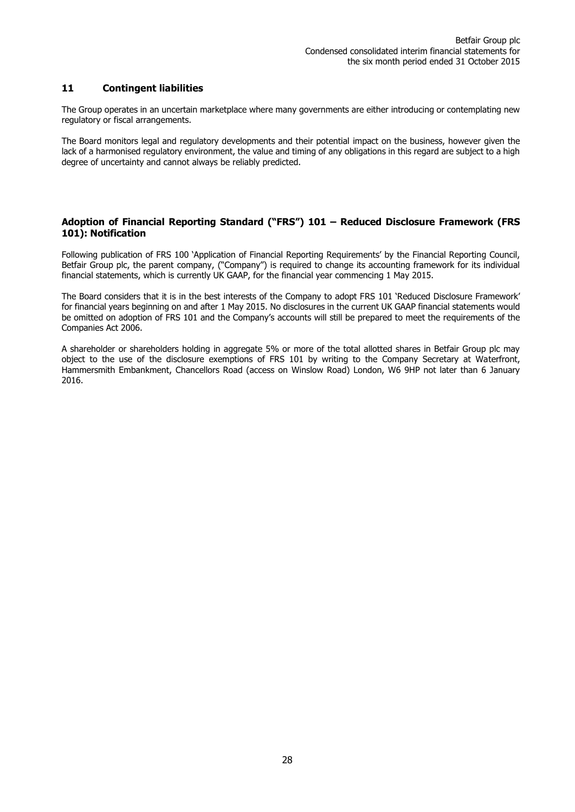## **11 Contingent liabilities**

The Group operates in an uncertain marketplace where many governments are either introducing or contemplating new regulatory or fiscal arrangements.

The Board monitors legal and regulatory developments and their potential impact on the business, however given the lack of a harmonised regulatory environment, the value and timing of any obligations in this regard are subject to a high degree of uncertainty and cannot always be reliably predicted.

## **Adoption of Financial Reporting Standard ("FRS") 101 – Reduced Disclosure Framework (FRS 101): Notification**

Following publication of FRS 100 'Application of Financial Reporting Requirements' by the Financial Reporting Council, Betfair Group plc, the parent company, ("Company") is required to change its accounting framework for its individual financial statements, which is currently UK GAAP, for the financial year commencing 1 May 2015.

The Board considers that it is in the best interests of the Company to adopt FRS 101 'Reduced Disclosure Framework' for financial years beginning on and after 1 May 2015. No disclosures in the current UK GAAP financial statements would be omitted on adoption of FRS 101 and the Company's accounts will still be prepared to meet the requirements of the Companies Act 2006.

A shareholder or shareholders holding in aggregate 5% or more of the total allotted shares in Betfair Group plc may object to the use of the disclosure exemptions of FRS 101 by writing to the Company Secretary at Waterfront, Hammersmith Embankment, Chancellors Road (access on Winslow Road) London, W6 9HP not later than 6 January 2016.